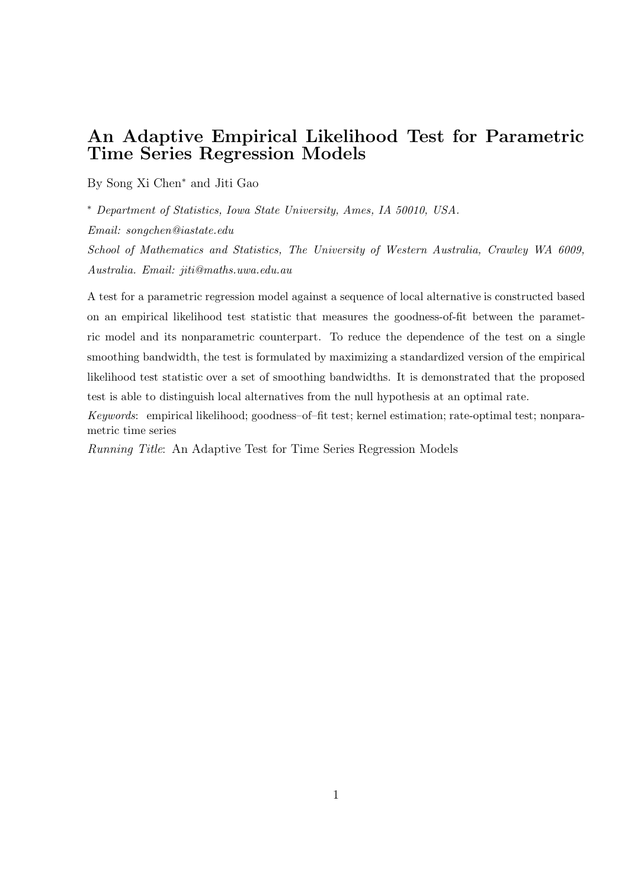## An Adaptive Empirical Likelihood Test for Parametric Time Series Regression Models

By Song Xi Chen<sup>∗</sup> and Jiti Gao

∗ Department of Statistics, Iowa State University, Ames, IA 50010, USA.

Email: songchen@iastate.edu

School of Mathematics and Statistics, The University of Western Australia, Crawley WA 6009, Australia. Email: jiti@maths.uwa.edu.au

A test for a parametric regression model against a sequence of local alternative is constructed based on an empirical likelihood test statistic that measures the goodness-of-fit between the parametric model and its nonparametric counterpart. To reduce the dependence of the test on a single smoothing bandwidth, the test is formulated by maximizing a standardized version of the empirical likelihood test statistic over a set of smoothing bandwidths. It is demonstrated that the proposed test is able to distinguish local alternatives from the null hypothesis at an optimal rate.

Keywords: empirical likelihood; goodness–of–fit test; kernel estimation; rate-optimal test; nonparametric time series

Running Title: An Adaptive Test for Time Series Regression Models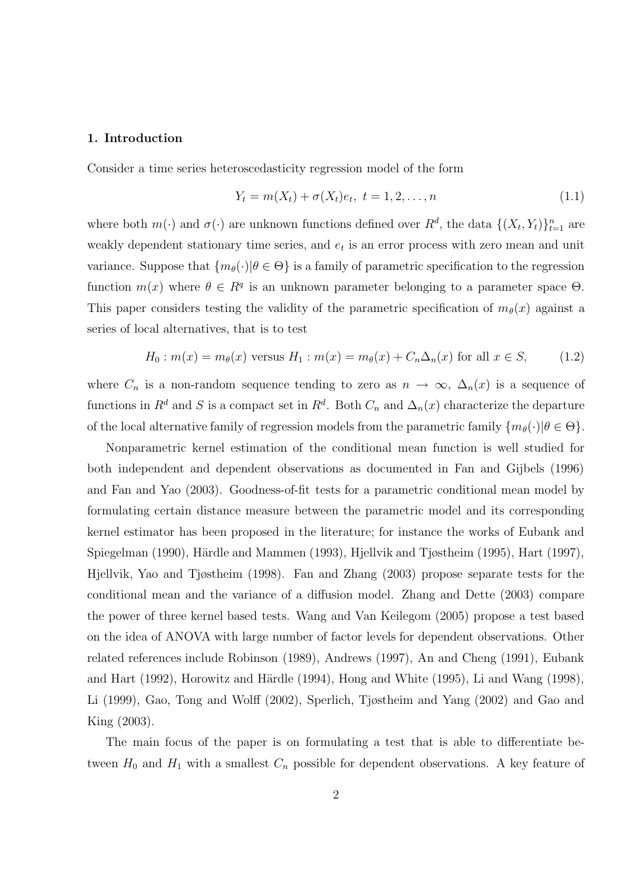#### 1. Introduction

Consider a time series heteroscedasticity regression model of the form

$$
Y_t = m(X_t) + \sigma(X_t)e_t, \ t = 1, 2, \dots, n
$$
\n(1.1)

where both  $m(\cdot)$  and  $\sigma(\cdot)$  are unknown functions defined over  $R^d$ , the data  $\{(X_t, Y_t)\}_{t=1}^n$  are weakly dependent stationary time series, and  $e_t$  is an error process with zero mean and unit variance. Suppose that  $\{m_{\theta}(\cdot)|\theta \in \Theta\}$  is a family of parametric specification to the regression function  $m(x)$  where  $\theta \in \mathbb{R}^q$  is an unknown parameter belonging to a parameter space  $\Theta$ . This paper considers testing the validity of the parametric specification of  $m_{\theta}(x)$  against a series of local alternatives, that is to test

$$
H_0: m(x) = m_\theta(x) \text{ versus } H_1: m(x) = m_\theta(x) + C_n \Delta_n(x) \text{ for all } x \in S,
$$
 (1.2)

where  $C_n$  is a non-random sequence tending to zero as  $n \to \infty$ ,  $\Delta_n(x)$  is a sequence of functions in  $R^d$  and S is a compact set in  $R^d$ . Both  $C_n$  and  $\Delta_n(x)$  characterize the departure of the local alternative family of regression models from the parametric family  $\{m_{\theta}(\cdot)|\theta \in \Theta\}$ .

Nonparametric kernel estimation of the conditional mean function is well studied for both independent and dependent observations as documented in Fan and Gijbels (1996) and Fan and Yao (2003). Goodness-of-fit tests for a parametric conditional mean model by formulating certain distance measure between the parametric model and its corresponding kernel estimator has been proposed in the literature; for instance the works of Eubank and Spiegelman (1990), Härdle and Mammen (1993), Hjellvik and Tjøstheim (1995), Hart (1997), Hjellvik, Yao and Tjøstheim (1998). Fan and Zhang (2003) propose separate tests for the conditional mean and the variance of a diffusion model. Zhang and Dette (2003) compare the power of three kernel based tests. Wang and Van Keilegom (2005) propose a test based on the idea of ANOVA with large number of factor levels for dependent observations. Other related references include Robinson (1989), Andrews (1997), An and Cheng (1991), Eubank and Hart  $(1992)$ , Horowitz and Härdle  $(1994)$ , Hong and White  $(1995)$ , Li and Wang  $(1998)$ , Li (1999), Gao, Tong and Wolff (2002), Sperlich, Tjøstheim and Yang (2002) and Gao and King (2003).

The main focus of the paper is on formulating a test that is able to differentiate between  $H_0$  and  $H_1$  with a smallest  $C_n$  possible for dependent observations. A key feature of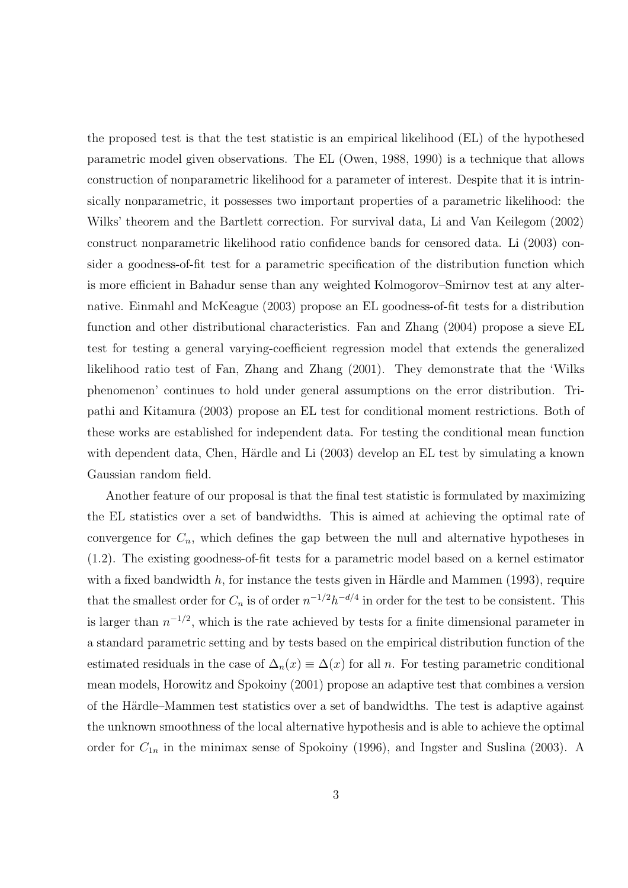the proposed test is that the test statistic is an empirical likelihood (EL) of the hypothesed parametric model given observations. The EL (Owen, 1988, 1990) is a technique that allows construction of nonparametric likelihood for a parameter of interest. Despite that it is intrinsically nonparametric, it possesses two important properties of a parametric likelihood: the Wilks' theorem and the Bartlett correction. For survival data, Li and Van Keilegom (2002) construct nonparametric likelihood ratio confidence bands for censored data. Li (2003) consider a goodness-of-fit test for a parametric specification of the distribution function which is more efficient in Bahadur sense than any weighted Kolmogorov–Smirnov test at any alternative. Einmahl and McKeague (2003) propose an EL goodness-of-fit tests for a distribution function and other distributional characteristics. Fan and Zhang (2004) propose a sieve EL test for testing a general varying-coefficient regression model that extends the generalized likelihood ratio test of Fan, Zhang and Zhang (2001). They demonstrate that the 'Wilks phenomenon' continues to hold under general assumptions on the error distribution. Tripathi and Kitamura (2003) propose an EL test for conditional moment restrictions. Both of these works are established for independent data. For testing the conditional mean function with dependent data, Chen, Härdle and Li (2003) develop an EL test by simulating a known Gaussian random field.

Another feature of our proposal is that the final test statistic is formulated by maximizing the EL statistics over a set of bandwidths. This is aimed at achieving the optimal rate of convergence for  $C_n$ , which defines the gap between the null and alternative hypotheses in (1.2). The existing goodness-of-fit tests for a parametric model based on a kernel estimator with a fixed bandwidth  $h$ , for instance the tests given in Härdle and Mammen (1993), require that the smallest order for  $C_n$  is of order  $n^{-1/2}h^{-d/4}$  in order for the test to be consistent. This is larger than  $n^{-1/2}$ , which is the rate achieved by tests for a finite dimensional parameter in a standard parametric setting and by tests based on the empirical distribution function of the estimated residuals in the case of  $\Delta_n(x) \equiv \Delta(x)$  for all n. For testing parametric conditional mean models, Horowitz and Spokoiny (2001) propose an adaptive test that combines a version of the Härdle–Mammen test statistics over a set of bandwidths. The test is adaptive against the unknown smoothness of the local alternative hypothesis and is able to achieve the optimal order for  $C_{1n}$  in the minimax sense of Spokoiny (1996), and Ingster and Suslina (2003). A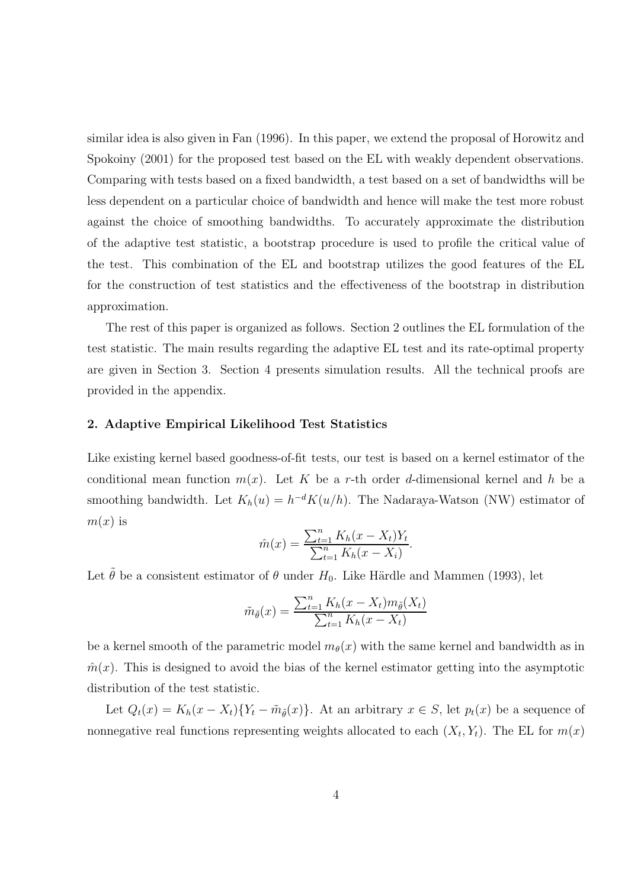similar idea is also given in Fan (1996). In this paper, we extend the proposal of Horowitz and Spokoiny (2001) for the proposed test based on the EL with weakly dependent observations. Comparing with tests based on a fixed bandwidth, a test based on a set of bandwidths will be less dependent on a particular choice of bandwidth and hence will make the test more robust against the choice of smoothing bandwidths. To accurately approximate the distribution of the adaptive test statistic, a bootstrap procedure is used to profile the critical value of the test. This combination of the EL and bootstrap utilizes the good features of the EL for the construction of test statistics and the effectiveness of the bootstrap in distribution approximation.

The rest of this paper is organized as follows. Section 2 outlines the EL formulation of the test statistic. The main results regarding the adaptive EL test and its rate-optimal property are given in Section 3. Section 4 presents simulation results. All the technical proofs are provided in the appendix.

#### 2. Adaptive Empirical Likelihood Test Statistics

Like existing kernel based goodness-of-fit tests, our test is based on a kernel estimator of the conditional mean function  $m(x)$ . Let K be a r-th order d-dimensional kernel and h be a smoothing bandwidth. Let  $K_h(u) = h^{-d}K(u/h)$ . The Nadaraya-Watson (NW) estimator of  $m(x)$  is

$$
\hat{m}(x) = \frac{\sum_{t=1}^{n} K_h(x - X_t)Y_t}{\sum_{t=1}^{n} K_h(x - X_i)}.
$$

Let  $\tilde{\theta}$  be a consistent estimator of  $\theta$  under  $H_0$ . Like Härdle and Mammen (1993), let

$$
\tilde{m}_{\tilde{\theta}}(x) = \frac{\sum_{t=1}^{n} K_h(x - X_t) m_{\tilde{\theta}}(X_t)}{\sum_{t=1}^{n} K_h(x - X_t)}
$$

be a kernel smooth of the parametric model  $m_{\theta}(x)$  with the same kernel and bandwidth as in  $\hat{m}(x)$ . This is designed to avoid the bias of the kernel estimator getting into the asymptotic distribution of the test statistic.

Let  $Q_t(x) = K_h(x - X_t)\{Y_t - \tilde{m}_{\tilde{\theta}}(x)\}\.$  At an arbitrary  $x \in S$ , let  $p_t(x)$  be a sequence of nonnegative real functions representing weights allocated to each  $(X_t, Y_t)$ . The EL for  $m(x)$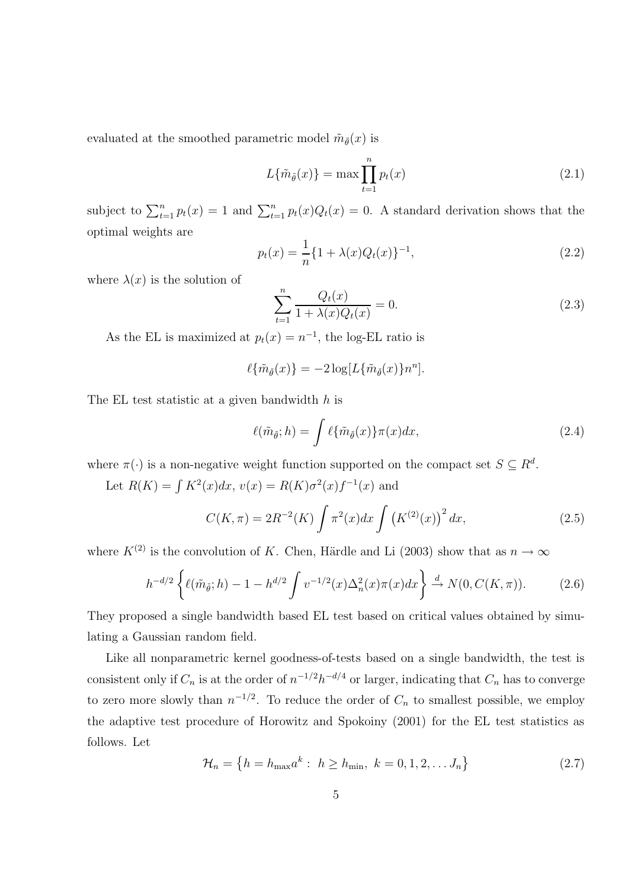evaluated at the smoothed parametric model  $\tilde{m}_{\tilde{\theta}}(x)$  is

$$
L\{\tilde{m}_{\tilde{\theta}}(x)\} = \max \prod_{t=1}^{n} p_t(x) \tag{2.1}
$$

subject to  $\sum_{t=1}^{n} p_t(x) = 1$  and  $\sum_{t=1}^{n} p_t(x)Q_t(x) = 0$ . A standard derivation shows that the optimal weights are

$$
p_t(x) = \frac{1}{n} \{1 + \lambda(x)Q_t(x)\}^{-1},
$$
\n(2.2)

where  $\lambda(x)$  is the solution of

$$
\sum_{t=1}^{n} \frac{Q_t(x)}{1 + \lambda(x)Q_t(x)} = 0.
$$
\n(2.3)

As the EL is maximized at  $p_t(x) = n^{-1}$ , the log-EL ratio is

$$
\ell\{\tilde{m}_{\tilde{\theta}}(x)\} = -2\log[L\{\tilde{m}_{\tilde{\theta}}(x)\}n^n].
$$

The EL test statistic at a given bandwidth h is

$$
\ell(\tilde{m}_{\tilde{\theta}};h) = \int \ell\{\tilde{m}_{\tilde{\theta}}(x)\}\pi(x)dx,\tag{2.4}
$$

where  $\pi(\cdot)$  is a non-negative weight function supported on the compact set  $S \subseteq R^d$ .

Let  $R(K) = \int K^2(x)dx$ ,  $v(x) = R(K)\sigma^2(x)f^{-1}(x)$  and

$$
C(K,\pi) = 2R^{-2}(K) \int \pi^2(x) dx \int (K^{(2)}(x))^2 dx,
$$
\n(2.5)

where  $K^{(2)}$  is the convolution of K. Chen, Härdle and Li (2003) show that as  $n \to \infty$ 

$$
h^{-d/2}\left\{\ell(\tilde{m}_{\tilde{\theta}};h) - 1 - h^{d/2} \int v^{-1/2}(x)\Delta_n^2(x)\pi(x)dx\right\} \stackrel{d}{\to} N(0, C(K,\pi)).\tag{2.6}
$$

They proposed a single bandwidth based EL test based on critical values obtained by simulating a Gaussian random field.

Like all nonparametric kernel goodness-of-tests based on a single bandwidth, the test is consistent only if  $C_n$  is at the order of  $n^{-1/2}h^{-d/4}$  or larger, indicating that  $C_n$  has to converge to zero more slowly than  $n^{-1/2}$ . To reduce the order of  $C_n$  to smallest possible, we employ the adaptive test procedure of Horowitz and Spokoiny (2001) for the EL test statistics as follows. Let

$$
\mathcal{H}_n = \left\{ h = h_{\text{max}} a^k : h \ge h_{\text{min}}, k = 0, 1, 2, \dots J_n \right\}
$$
 (2.7)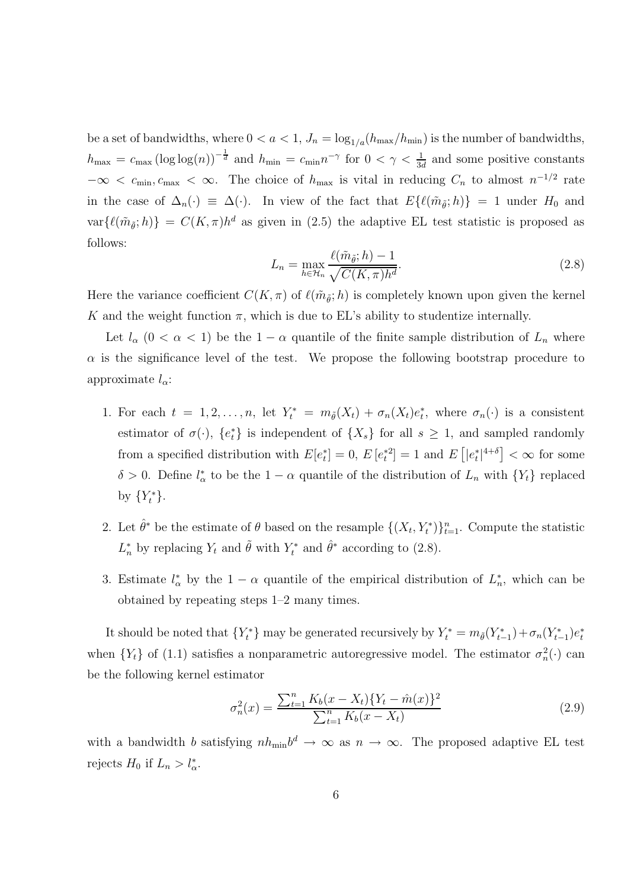be a set of bandwidths, where  $0 < a < 1$ ,  $J_n = \log_{1/a}(h_{\text{max}}/h_{\text{min}})$  is the number of bandwidths,  $h_{\text{max}} = c_{\text{max}} (\log \log(n))^{-\frac{1}{d}}$  and  $h_{\text{min}} = c_{\text{min}} n^{-\gamma}$  for  $0 < \gamma < \frac{1}{3d}$  $\frac{1}{3d}$  and some positive constants  $-\infty < c_{\min}, c_{\max} < \infty$ . The choice of  $h_{\max}$  is vital in reducing  $C_n$  to almost  $n^{-1/2}$  rate in the case of  $\Delta_n(\cdot) \equiv \Delta(\cdot)$ . In view of the fact that  $E\{\ell(\tilde{m}_{\tilde{\theta}}; h)\}=1$  under  $H_0$  and  $var\{\ell(\tilde{m}_{\tilde{\theta}};h)\}\ =\ C(K,\pi)h^d$  as given in (2.5) the adaptive EL test statistic is proposed as follows:

$$
L_n = \max_{h \in \mathcal{H}_n} \frac{\ell(\tilde{m}_{\tilde{\theta}}; h) - 1}{\sqrt{C(K, \pi)h^d}}.
$$
\n(2.8)

Here the variance coefficient  $C(K, \pi)$  of  $\ell(\tilde{m}_{\tilde{\theta}}; h)$  is completely known upon given the kernel K and the weight function  $\pi$ , which is due to EL's ability to studentize internally.

Let  $l_{\alpha}$  (0 <  $\alpha$  < 1) be the 1 –  $\alpha$  quantile of the finite sample distribution of  $L_n$  where  $\alpha$  is the significance level of the test. We propose the following bootstrap procedure to approximate  $l_{\alpha}$ :

- 1. For each  $t = 1, 2, ..., n$ , let  $Y_t^* = m_{\tilde{\theta}}(X_t) + \sigma_n(X_t)e_t^*$ , where  $\sigma_n(\cdot)$  is a consistent estimator of  $\sigma(\cdot)$ ,  $\{e_t^*\}$  is independent of  $\{X_s\}$  for all  $s \geq 1$ , and sampled randomly from a specified distribution with  $E[e_t^*] = 0$ ,  $E[e_t^{*2}] = 1$  and  $E[e_t^*]^{4+\delta}$   $< \infty$  for some  $\delta > 0$ . Define  $l^*_{\alpha}$  to be the  $1 - \alpha$  quantile of the distribution of  $L_n$  with  $\{Y_t\}$  replaced by  $\{Y_t^*\}.$
- 2. Let  $\hat{\theta}^*$  be the estimate of  $\theta$  based on the resample  $\{(X_t, Y_t^*)\}_{t=1}^n$ . Compute the statistic  $L_n^*$  by replacing  $Y_t$  and  $\tilde{\theta}$  with  $Y_t^*$  and  $\hat{\theta}^*$  according to (2.8).
- 3. Estimate  $l^*_{\alpha}$  by the  $1 \alpha$  quantile of the empirical distribution of  $L^*_{n}$ , which can be obtained by repeating steps 1–2 many times.

It should be noted that  $\{Y_t^*\}$  may be generated recursively by  $Y_t^* = m_{\tilde{\theta}}(Y_{t-1}^*) + \sigma_n(Y_{t-1}^*)e_t^*$ when  ${Y<sub>t</sub>}$  of (1.1) satisfies a nonparametric autoregressive model. The estimator  $\sigma_n^2(\cdot)$  can be the following kernel estimator

$$
\sigma_n^2(x) = \frac{\sum_{t=1}^n K_b(x - X_t) \{ Y_t - \hat{m}(x) \}^2}{\sum_{t=1}^n K_b(x - X_t)}
$$
(2.9)

with a bandwidth b satisfying  $nh_{\min}b^d \to \infty$  as  $n \to \infty$ . The proposed adaptive EL test rejects  $H_0$  if  $L_n > l^*_{\alpha}$ .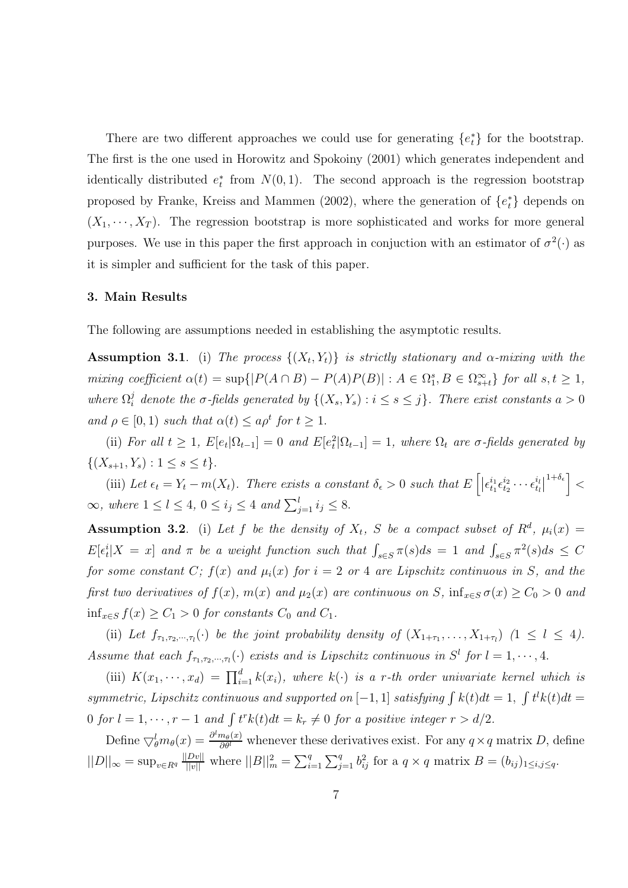There are two different approaches we could use for generating  ${e_t^*}$  for the bootstrap. The first is the one used in Horowitz and Spokoiny (2001) which generates independent and identically distributed  $e_t^*$  from  $N(0, 1)$ . The second approach is the regression bootstrap proposed by Franke, Kreiss and Mammen (2002), where the generation of  $\{e_t^*\}$  depends on  $(X_1, \dots, X_T)$ . The regression bootstrap is more sophisticated and works for more general purposes. We use in this paper the first approach in conjuction with an estimator of  $\sigma^2(\cdot)$  as it is simpler and sufficient for the task of this paper.

### 3. Main Results

The following are assumptions needed in establishing the asymptotic results.

**Assumption 3.1**. (i) The process  $\{(X_t, Y_t)\}\$ is strictly stationary and  $\alpha$ -mixing with the mixing coefficient  $\alpha(t) = \sup\{|P(A \cap B) - P(A)P(B)| : A \in \Omega_{1}^{s}, B \in \Omega_{s+t}^{\infty}\}\)$  for all  $s, t \geq 1$ , where  $\Omega_i^j$  denote the  $\sigma$ -fields generated by  $\{(X_s, Y_s) : i \leq s \leq j\}$ . There exist constants  $a > 0$ and  $\rho \in [0, 1)$  such that  $\alpha(t) \le a \rho^t$  for  $t \ge 1$ .

(ii) For all  $t \geq 1$ ,  $E[e_t|\Omega_{t-1}] = 0$  and  $E[e_t^2|\Omega_{t-1}] = 1$ , where  $\Omega_t$  are  $\sigma$ -fields generated by  $\{(X_{s+1}, Y_s) : 1 \leq s \leq t\}.$ 

(iii) Let  $\epsilon_t = Y_t - m(X_t)$ . There exists a constant  $\delta_{\epsilon} > 0$  such that  $E\left[ \left| \epsilon_{t_1}^{i_1} \epsilon_{t_2}^{i_2} \cdots \epsilon_{t_l}^{i_l} \right| \right]$  $\begin{bmatrix} i_l \\ t_l \end{bmatrix}$  $\left.1+\delta_\epsilon\right\rceil <$  $\infty$ , where  $1 \leq l \leq 4$ ,  $0 \leq i_j \leq 4$  and  $\sum_{j=1}^{l} i_j \leq 8$ .

**Assumption 3.2**. (i) Let f be the density of  $X_t$ , S be a compact subset of  $R^d$ ,  $\mu_i(x) =$  $E[\epsilon_t^i|X=x]$  and  $\pi$  be a weight function such that  $\int_{s\in S}\pi(s)ds=1$  and  $\int_{s\in S}\pi^2(s)ds\leq C$ for some constant C;  $f(x)$  and  $\mu_i(x)$  for  $i = 2$  or 4 are Lipschitz continuous in S, and the first two derivatives of  $f(x)$ ,  $m(x)$  and  $\mu_2(x)$  are continuous on S,  $\inf_{x \in S} \sigma(x) \ge C_0 > 0$  and inf<sub>x∈S</sub>  $f(x)$  ≥  $C_1$  > 0 for constants  $C_0$  and  $C_1$ .

(ii) Let  $f_{\tau_1,\tau_2,\dots,\tau_l}(\cdot)$  be the joint probability density of  $(X_{1+\tau_1},\dots,X_{1+\tau_l})$   $(1 \leq l \leq 4)$ . Assume that each  $f_{\tau_1,\tau_2,\dots,\tau_l}(\cdot)$  exists and is Lipschitz continuous in  $S^l$  for  $l=1,\dots,4$ .

(iii)  $K(x_1, \dots, x_d) = \prod_{i=1}^d k(x_i)$ , where  $k(\cdot)$  is a r-th order univariate kernel which is symmetric, Lipschitz continuous and supported on  $[-1, 1]$  satisfying  $\int k(t)dt = 1$ ,  $\int t^l k(t)dt =$ 0 for  $l = 1, \dots, r - 1$  and  $\int t^r k(t) dt = k_r \neq 0$  for a positive integer  $r > d/2$ .

Define  $\bigtriangledown_{\theta}^{l} m_{\theta}(x) = \frac{\partial^{l} m_{\theta}(x)}{\partial \theta^{l}}$  $\frac{m_{\theta}(x)}{\partial \theta^{l}}$  whenever these derivatives exist. For any  $q \times q$  matrix D, define  $||D||_{\infty} = \sup_{v \in R^q} \frac{||Dv||}{||v||}$  where  $||B||_m^2 = \sum_{i=1}^q \sum_{j=1}^q b_{ij}^2$  for a  $q \times q$  matrix  $B = (b_{ij})_{1 \le i,j \le q}$ .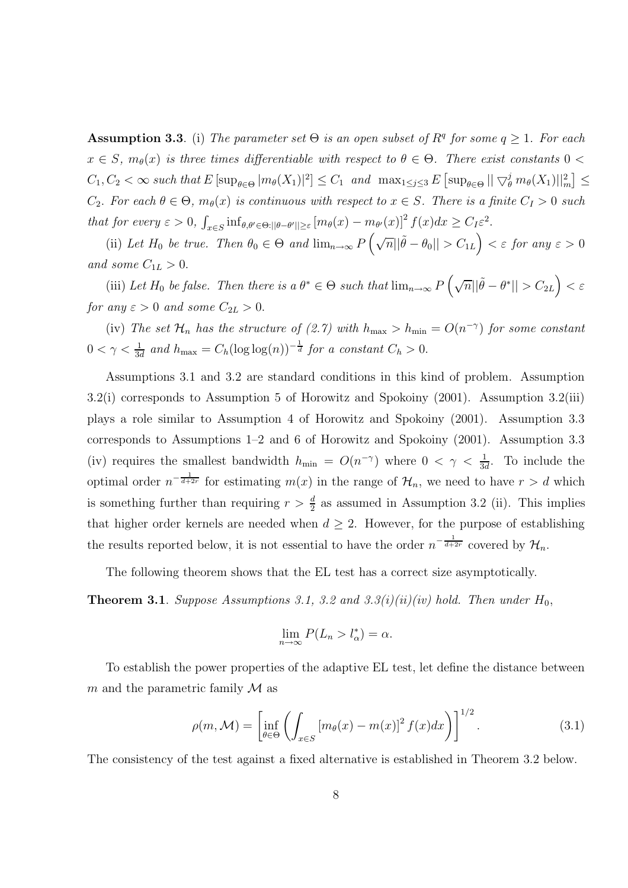**Assumption 3.3.** (i) The parameter set  $\Theta$  is an open subset of  $R<sup>q</sup>$  for some  $q \ge 1$ . For each  $x \in S$ ,  $m_{\theta}(x)$  is three times differentiable with respect to  $\theta \in \Theta$ . There exist constants  $0 <$  $C_1, C_2 < \infty$  such that  $E \left[ \sup_{\theta \in \Theta} |m_{\theta}(X_1)|^2 \right] \leq C_1$  and  $\max_{1 \leq j \leq 3} E \left[ \sup_{\theta \in \Theta} || \bigtriangledown_{\theta}^{j} m_{\theta}(X_1) ||_{m}^{2} \right] \leq$  $C_2$ . For each  $\theta \in \Theta$ ,  $m_{\theta}(x)$  is continuous with respect to  $x \in S$ . There is a finite  $C_I > 0$  such that for every  $\varepsilon > 0$ ,  $\int_{x \in S} \inf_{\theta, \theta' \in \Theta: ||\theta - \theta'|| \geq \varepsilon} [m_\theta(x) - m_{\theta'}(x)]^2 f(x) dx \geq C_I \varepsilon^2$ .

(ii) Let  $H_0$  be true. Then  $\theta_0 \in \Theta$  and  $\lim_{n\to\infty} P\left(\sqrt{n}||\tilde{\theta} - \theta_0|| > C_{1L}\right) < \varepsilon$  for any  $\varepsilon > 0$ and some  $C_{1L} > 0$ .

(iii) Let  $H_0$  be false. Then there is a  $\theta^* \in \Theta$  such that  $\lim_{n\to\infty} P\left(\sqrt{n}||\tilde{\theta}-\theta^*|| > C_{2L}\right) < \varepsilon$ for any  $\varepsilon > 0$  and some  $C_{2L} > 0$ .

(iv) The set  $\mathcal{H}_n$  has the structure of (2.7) with  $h_{\text{max}} > h_{\text{min}} = O(n^{-\gamma})$  for some constant  $0 < \gamma < \frac{1}{3\epsilon}$  $\frac{1}{3d}$  and  $h_{\text{max}} = C_h (\log \log(n))^{-\frac{1}{d}}$  for a constant  $C_h > 0$ .

Assumptions 3.1 and 3.2 are standard conditions in this kind of problem. Assumption 3.2(i) corresponds to Assumption 5 of Horowitz and Spokoiny (2001). Assumption 3.2(iii) plays a role similar to Assumption 4 of Horowitz and Spokoiny (2001). Assumption 3.3 corresponds to Assumptions 1–2 and 6 of Horowitz and Spokoiny (2001). Assumption 3.3 (iv) requires the smallest bandwidth  $h_{\min} = O(n^{-\gamma})$  where  $0 < \gamma < \frac{1}{3\alpha}$  $\frac{1}{3d}$ . To include the optimal order  $n^{-\frac{1}{d+2r}}$  for estimating  $m(x)$  in the range of  $\mathcal{H}_n$ , we need to have  $r > d$  which is something further than requiring  $r > \frac{d}{2}$  $\frac{d}{2}$  as assumed in Assumption 3.2 (ii). This implies that higher order kernels are needed when  $d \geq 2$ . However, for the purpose of establishing the results reported below, it is not essential to have the order  $n^{-\frac{1}{d+2r}}$  covered by  $\mathcal{H}_n$ .

The following theorem shows that the EL test has a correct size asymptotically.

**Theorem 3.1**. Suppose Assumptions 3.1, 3.2 and 3.3(i)(ii)(iv) hold. Then under  $H_0$ ,

$$
\lim_{n \to \infty} P(L_n > l_\alpha^*) = \alpha.
$$

To establish the power properties of the adaptive EL test, let define the distance between m and the parametric family  $\mathcal M$  as

$$
\rho(m,\mathcal{M}) = \left[\inf_{\theta \in \Theta} \left( \int_{x \in S} \left[ m_{\theta}(x) - m(x) \right]^2 f(x) dx \right) \right]^{1/2}.
$$
 (3.1)

The consistency of the test against a fixed alternative is established in Theorem 3.2 below.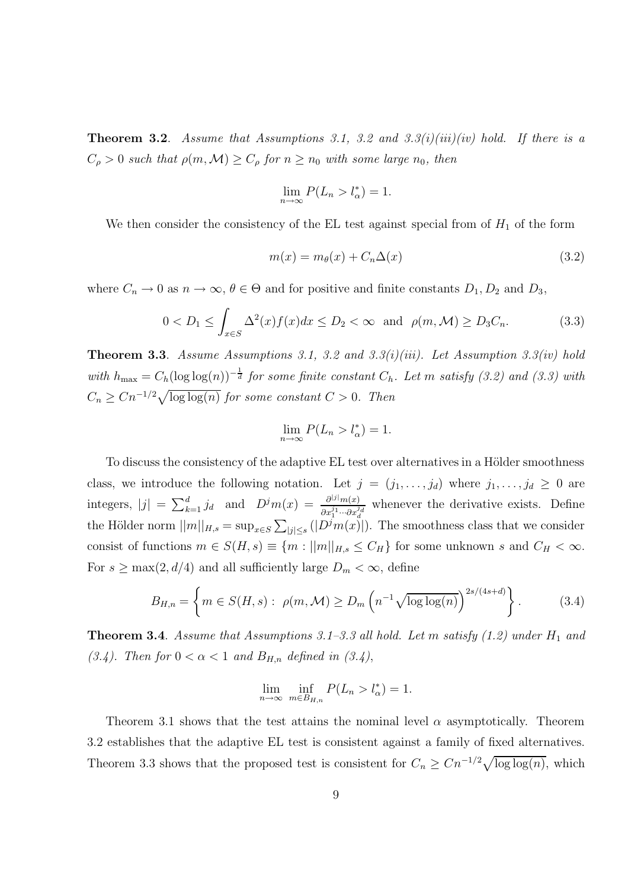**Theorem 3.2.** Assume that Assumptions 3.1, 3.2 and 3.3(i)(iii)(iv) hold. If there is a  $C_{\rho} > 0$  such that  $\rho(m, \mathcal{M}) \geq C_{\rho}$  for  $n \geq n_0$  with some large  $n_0$ , then

$$
\lim_{n \to \infty} P(L_n > l^*_{\alpha}) = 1.
$$

We then consider the consistency of the EL test against special from of  $H_1$  of the form

$$
m(x) = m_{\theta}(x) + C_n \Delta(x) \tag{3.2}
$$

where  $C_n \to 0$  as  $n \to \infty$ ,  $\theta \in \Theta$  and for positive and finite constants  $D_1, D_2$  and  $D_3$ ,

$$
0 < D_1 \le \int_{x \in S} \Delta^2(x) f(x) dx \le D_2 < \infty \quad \text{and} \quad \rho(m, \mathcal{M}) \ge D_3 C_n. \tag{3.3}
$$

**Theorem 3.3.** Assume Assumptions 3.1, 3.2 and 3.3(i)(iii). Let Assumption 3.3(iv) hold with  $h_{\text{max}} = C_h(\log \log(n))^{-\frac{1}{d}}$  for some finite constant  $C_h$ . Let m satisfy (3.2) and (3.3) with  $C_n \geq Cn^{-1/2}\sqrt{\log \log(n)}$  for some constant  $C > 0$ . Then

$$
\lim_{n \to \infty} P(L_n > l_\alpha^*) = 1.
$$

To discuss the consistency of the adaptive EL test over alternatives in a Hölder smoothness class, we introduce the following notation. Let  $j = (j_1, \ldots, j_d)$  where  $j_1, \ldots, j_d \geq 0$  are integers,  $|j| = \sum_{k=1}^d j_d$  and  $D^j m(x) = \frac{\partial^{|j|} m(x)}{\partial x^{j_1} \cdots \partial x^{j_d}}$  $\frac{\partial^{(j)}(m(x))}{\partial x_1^{j_1} \cdots \partial x_d^{j_d}}$  whenever the derivative exists. Define the Hölder norm  $||m||_{H,s} = \sup_{x \in S} \sum_{|j| \le s} (|D^j m(x)|)$ . The smoothness class that we consider consist of functions  $m \in S(H, s) \equiv \{m : ||m||_{H, s} \leq C_H\}$  for some unknown s and  $C_H < \infty$ . For  $s \geq \max(2, d/4)$  and all sufficiently large  $D_m < \infty$ , define

$$
B_{H,n} = \left\{ m \in S(H,s) : \ \rho(m,\mathcal{M}) \ge D_m \left( n^{-1} \sqrt{\log \log(n)} \right)^{2s/(4s+d)} \right\}.
$$
 (3.4)

**Theorem 3.4**. Assume that Assumptions 3.1–3.3 all hold. Let m satisfy  $(1.2)$  under  $H_1$  and (3.4). Then for  $0 < \alpha < 1$  and  $B_{H,n}$  defined in (3.4),

$$
\lim_{n \to \infty} \inf_{m \in B_{H,n}} P(L_n > l^*_{\alpha}) = 1.
$$

Theorem 3.1 shows that the test attains the nominal level  $\alpha$  asymptotically. Theorem 3.2 establishes that the adaptive EL test is consistent against a family of fixed alternatives. Theorem 3.3 shows that the proposed test is consistent for  $C_n \geq Cn^{-1/2}\sqrt{\log \log(n)}$ , which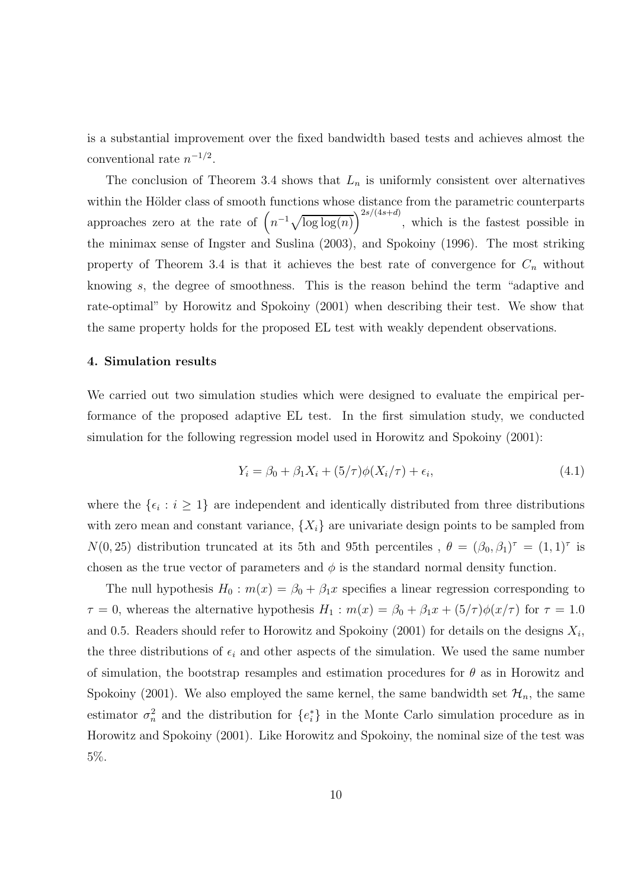is a substantial improvement over the fixed bandwidth based tests and achieves almost the conventional rate  $n^{-1/2}$ .

The conclusion of Theorem 3.4 shows that  $L_n$  is uniformly consistent over alternatives within the Hölder class of smooth functions whose distance from the parametric counterparts approaches zero at the rate of  $(n^{-1}\sqrt{\log \log(n)})^{2s/(4s+d)}$ , which is the fastest possible in the minimax sense of Ingster and Suslina (2003), and Spokoiny (1996). The most striking property of Theorem 3.4 is that it achieves the best rate of convergence for  $C_n$  without knowing s, the degree of smoothness. This is the reason behind the term "adaptive and rate-optimal" by Horowitz and Spokoiny (2001) when describing their test. We show that the same property holds for the proposed EL test with weakly dependent observations.

#### 4. Simulation results

We carried out two simulation studies which were designed to evaluate the empirical performance of the proposed adaptive EL test. In the first simulation study, we conducted simulation for the following regression model used in Horowitz and Spokoiny (2001):

$$
Y_i = \beta_0 + \beta_1 X_i + (5/\tau)\phi(X_i/\tau) + \epsilon_i,
$$
\n(4.1)

where the  $\{\epsilon_i : i \geq 1\}$  are independent and identically distributed from three distributions with zero mean and constant variance,  $\{X_i\}$  are univariate design points to be sampled from  $N(0, 25)$  distribution truncated at its 5th and 95th percentiles ,  $\theta = (\beta_0, \beta_1)^{\tau} = (1, 1)^{\tau}$  is chosen as the true vector of parameters and  $\phi$  is the standard normal density function.

The null hypothesis  $H_0$ :  $m(x) = \beta_0 + \beta_1 x$  specifies a linear regression corresponding to  $\tau = 0$ , whereas the alternative hypothesis  $H_1 : m(x) = \beta_0 + \beta_1 x + (5/\tau)\phi(x/\tau)$  for  $\tau = 1.0$ and 0.5. Readers should refer to Horowitz and Spokoiny (2001) for details on the designs  $X_i$ , the three distributions of  $\epsilon_i$  and other aspects of the simulation. We used the same number of simulation, the bootstrap resamples and estimation procedures for  $\theta$  as in Horowitz and Spokoiny (2001). We also employed the same kernel, the same bandwidth set  $\mathcal{H}_n$ , the same estimator  $\sigma_n^2$  and the distribution for  $\{e_i^*\}$  in the Monte Carlo simulation procedure as in Horowitz and Spokoiny (2001). Like Horowitz and Spokoiny, the nominal size of the test was 5%.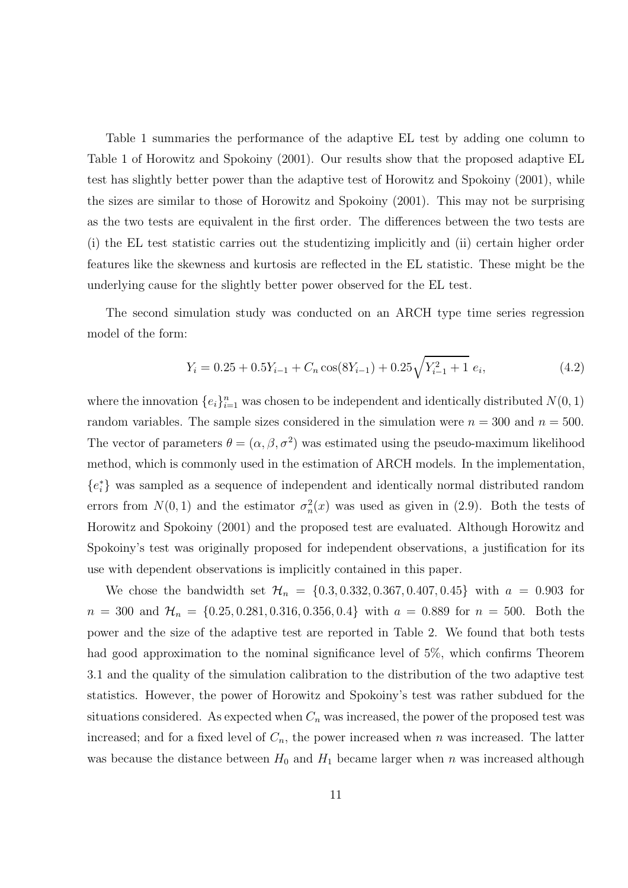Table 1 summaries the performance of the adaptive EL test by adding one column to Table 1 of Horowitz and Spokoiny (2001). Our results show that the proposed adaptive EL test has slightly better power than the adaptive test of Horowitz and Spokoiny (2001), while the sizes are similar to those of Horowitz and Spokoiny (2001). This may not be surprising as the two tests are equivalent in the first order. The differences between the two tests are (i) the EL test statistic carries out the studentizing implicitly and (ii) certain higher order features like the skewness and kurtosis are reflected in the EL statistic. These might be the underlying cause for the slightly better power observed for the EL test.

The second simulation study was conducted on an ARCH type time series regression model of the form:

$$
Y_i = 0.25 + 0.5Y_{i-1} + C_n \cos(8Y_{i-1}) + 0.25\sqrt{Y_{i-1}^2 + 1} e_i,
$$
\n(4.2)

where the innovation  $\{e_i\}_{i=1}^n$  was chosen to be independent and identically distributed  $N(0, 1)$ random variables. The sample sizes considered in the simulation were  $n = 300$  and  $n = 500$ . The vector of parameters  $\theta = (\alpha, \beta, \sigma^2)$  was estimated using the pseudo-maximum likelihood method, which is commonly used in the estimation of ARCH models. In the implementation, {e ∗ i } was sampled as a sequence of independent and identically normal distributed random errors from  $N(0, 1)$  and the estimator  $\sigma_n^2(x)$  was used as given in (2.9). Both the tests of Horowitz and Spokoiny (2001) and the proposed test are evaluated. Although Horowitz and Spokoiny's test was originally proposed for independent observations, a justification for its use with dependent observations is implicitly contained in this paper.

We chose the bandwidth set  $\mathcal{H}_n = \{0.3, 0.332, 0.367, 0.407, 0.45\}$  with  $a = 0.903$  for  $n = 300$  and  $\mathcal{H}_n = \{0.25, 0.281, 0.316, 0.356, 0.4\}$  with  $a = 0.889$  for  $n = 500$ . Both the power and the size of the adaptive test are reported in Table 2. We found that both tests had good approximation to the nominal significance level of 5\%, which confirms Theorem 3.1 and the quality of the simulation calibration to the distribution of the two adaptive test statistics. However, the power of Horowitz and Spokoiny's test was rather subdued for the situations considered. As expected when  $C_n$  was increased, the power of the proposed test was increased; and for a fixed level of  $C_n$ , the power increased when n was increased. The latter was because the distance between  $H_0$  and  $H_1$  became larger when n was increased although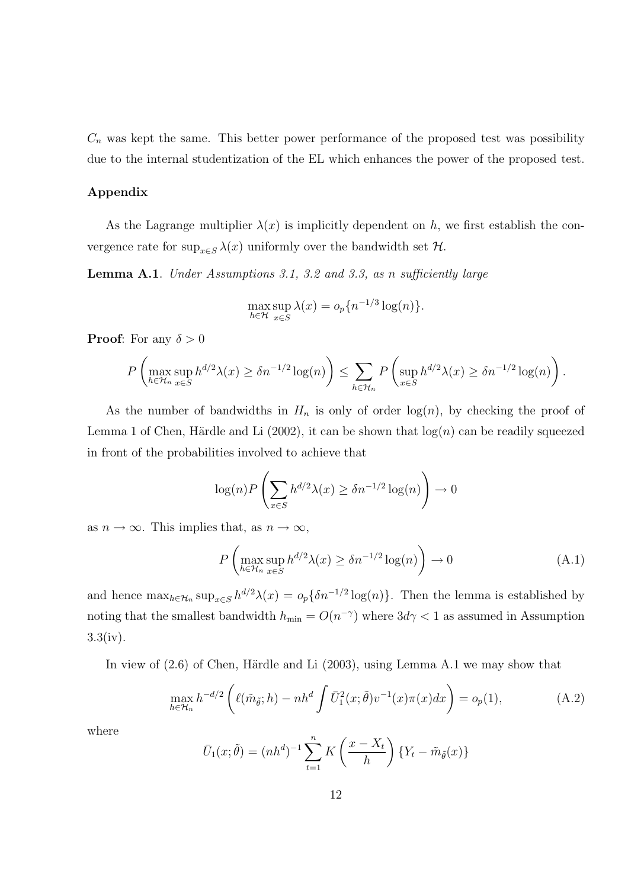$C_n$  was kept the same. This better power performance of the proposed test was possibility due to the internal studentization of the EL which enhances the power of the proposed test.

## Appendix

As the Lagrange multiplier  $\lambda(x)$  is implicitly dependent on h, we first establish the convergence rate for  $\sup_{x\in S} \lambda(x)$  uniformly over the bandwidth set  $\mathcal H.$ 

Lemma A.1. Under Assumptions 3.1, 3.2 and 3.3, as n sufficiently large

$$
\max_{h \in \mathcal{H}} \sup_{x \in S} \lambda(x) = o_p\{n^{-1/3} \log(n)\}.
$$

**Proof:** For any  $\delta > 0$ 

$$
P\left(\max_{h\in\mathcal{H}_n}\sup_{x\in S} h^{d/2}\lambda(x)\geq \delta n^{-1/2}\log(n)\right)\leq \sum_{h\in\mathcal{H}_n}P\left(\sup_{x\in S} h^{d/2}\lambda(x)\geq \delta n^{-1/2}\log(n)\right).
$$

As the number of bandwidths in  $H_n$  is only of order  $log(n)$ , by checking the proof of Lemma 1 of Chen, Härdle and Li  $(2002)$ , it can be shown that  $log(n)$  can be readily squeezed in front of the probabilities involved to achieve that

$$
\log(n) P\left(\sum_{x \in S} h^{d/2} \lambda(x) \ge \delta n^{-1/2} \log(n)\right) \to 0
$$

as  $n \to \infty$ . This implies that, as  $n \to \infty$ ,

$$
P\left(\max_{h\in\mathcal{H}_n}\sup_{x\in S} h^{d/2}\lambda(x)\geq \delta n^{-1/2}\log(n)\right)\to 0\tag{A.1}
$$

and hence  $\max_{h \in \mathcal{H}_n} \sup_{x \in S} h^{d/2} \lambda(x) = o_p \{ \delta n^{-1/2} \log(n) \}.$  Then the lemma is established by noting that the smallest bandwidth  $h_{\min} = O(n^{-\gamma})$  where  $3d\gamma < 1$  as assumed in Assumption  $3.3(iv)$ .

In view of  $(2.6)$  of Chen, Härdle and Li  $(2003)$ , using Lemma A.1 we may show that

$$
\max_{h \in \mathcal{H}_n} h^{-d/2} \left( \ell(\tilde{m}_{\tilde{\theta}}; h) - nh^d \int \bar{U}_1^2(x; \tilde{\theta}) v^{-1}(x) \pi(x) dx \right) = o_p(1),\tag{A.2}
$$

where

$$
\bar{U}_1(x;\tilde{\theta}) = (nh^d)^{-1} \sum_{t=1}^n K\left(\frac{x - X_t}{h}\right) \{Y_t - \tilde{m}_{\tilde{\theta}}(x)\}
$$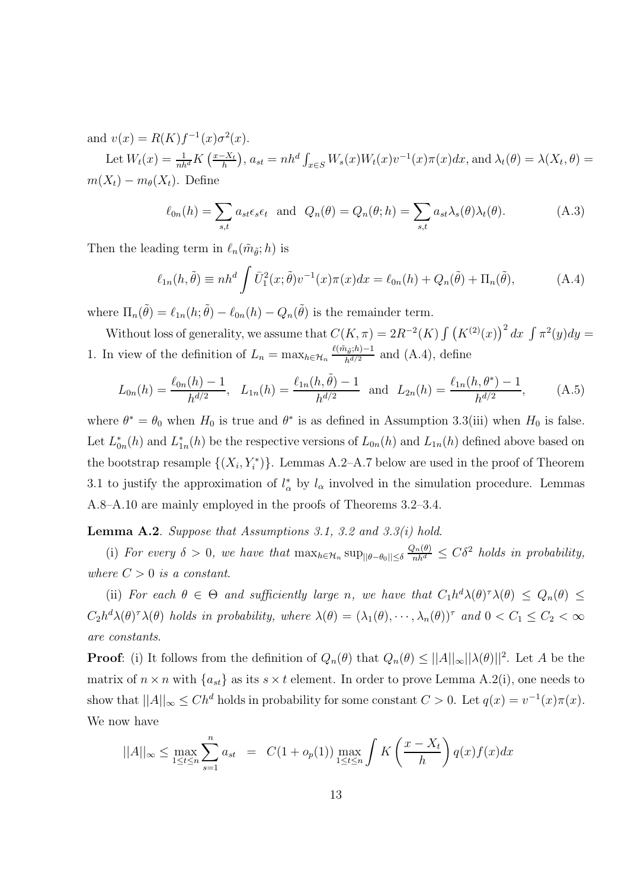and  $v(x) = R(K)f^{-1}(x)\sigma^{2}(x)$ .

Let  $W_t(x) = \frac{1}{nh^d} K\left(\frac{x - X_t}{h}\right), a_{st} = nh^d \int_{x \in S} W_s(x) W_t(x) v^{-1}(x) \pi(x) dx$ , and  $\lambda_t(\theta) = \lambda(X_t, \theta) =$  $m(X_t) - m_{\theta}(X_t)$ . Define

$$
\ell_{0n}(h) = \sum_{s,t} a_{st} \epsilon_s \epsilon_t \text{ and } Q_n(\theta) = Q_n(\theta; h) = \sum_{s,t} a_{st} \lambda_s(\theta) \lambda_t(\theta). \tag{A.3}
$$

Then the leading term in  $\ell_n(\tilde{m}_{\tilde{\theta}}; h)$  is

$$
\ell_{1n}(h,\tilde{\theta}) \equiv nh^d \int \bar{U}_1^2(x;\tilde{\theta})v^{-1}(x)\pi(x)dx = \ell_{0n}(h) + Q_n(\tilde{\theta}) + \Pi_n(\tilde{\theta}), \tag{A.4}
$$

where  $\Pi_n(\tilde{\theta}) = \ell_{1n}(h; \tilde{\theta}) - \ell_{0n}(h) - Q_n(\tilde{\theta})$  is the remainder term.

Without loss of generality, we assume that  $C(K,\pi) = 2R^{-2}(K) \int (K^{(2)}(x))^2 dx \int \pi^2(y) dy =$ 1. In view of the definition of  $L_n = \max_{h \in \mathcal{H}_n} \frac{\ell(\tilde{m}_{\tilde{\theta}};h)-1}{h^{d/2}}$  $\frac{\ell_{\theta}^{i}}{h^{d/2}}$  and  $(A.4)$ , define

$$
L_{0n}(h) = \frac{\ell_{0n}(h) - 1}{h^{d/2}}, \quad L_{1n}(h) = \frac{\ell_{1n}(h, \tilde{\theta}) - 1}{h^{d/2}} \quad \text{and} \quad L_{2n}(h) = \frac{\ell_{1n}(h, \theta^*) - 1}{h^{d/2}}, \tag{A.5}
$$

where  $\theta^* = \theta_0$  when  $H_0$  is true and  $\theta^*$  is as defined in Assumption 3.3(iii) when  $H_0$  is false. Let  $L_{0n}^*(h)$  and  $L_{1n}^*(h)$  be the respective versions of  $L_{0n}(h)$  and  $L_{1n}(h)$  defined above based on the bootstrap resample  $\{(X_i, Y_i^*)\}$ . Lemmas A.2–A.7 below are used in the proof of Theorem 3.1 to justify the approximation of  $l^*_{\alpha}$  by  $l_{\alpha}$  involved in the simulation procedure. Lemmas A.8–A.10 are mainly employed in the proofs of Theorems 3.2–3.4.

Lemma A.2. Suppose that Assumptions 3.1, 3.2 and 3.3(i) hold.

(i) For every  $\delta > 0$ , we have that  $\max_{h \in \mathcal{H}_n} \sup_{\|\theta - \theta_0\| \leq \delta} \frac{Q_n(\theta)}{nh^d} \leq C\delta^2$  holds in probability, where  $C > 0$  is a constant.

(ii) For each  $\theta \in \Theta$  and sufficiently large n, we have that  $C_1 h^d \lambda(\theta) \gamma \lambda(\theta) \leq Q_n(\theta) \leq$  $C_2 h^d \lambda(\theta)^\tau \lambda(\theta)$  holds in probability, where  $\lambda(\theta) = (\lambda_1(\theta), \dots, \lambda_n(\theta))^\tau$  and  $0 < C_1 \le C_2 < \infty$ are constants.

**Proof**: (i) It follows from the definition of  $Q_n(\theta)$  that  $Q_n(\theta) \leq ||A||_{\infty} ||\lambda(\theta)||^2$ . Let A be the matrix of  $n \times n$  with  $\{a_{st}\}\$ as its  $s \times t$  element. In order to prove Lemma A.2(i), one needs to show that  $||A||_{\infty} \leq Ch^d$  holds in probability for some constant  $C > 0$ . Let  $q(x) = v^{-1}(x)\pi(x)$ . We now have

$$
||A||_{\infty} \le \max_{1 \le t \le n} \sum_{s=1}^{n} a_{st} = C(1 + o_p(1)) \max_{1 \le t \le n} \int K\left(\frac{x - X_t}{h}\right) q(x) f(x) dx
$$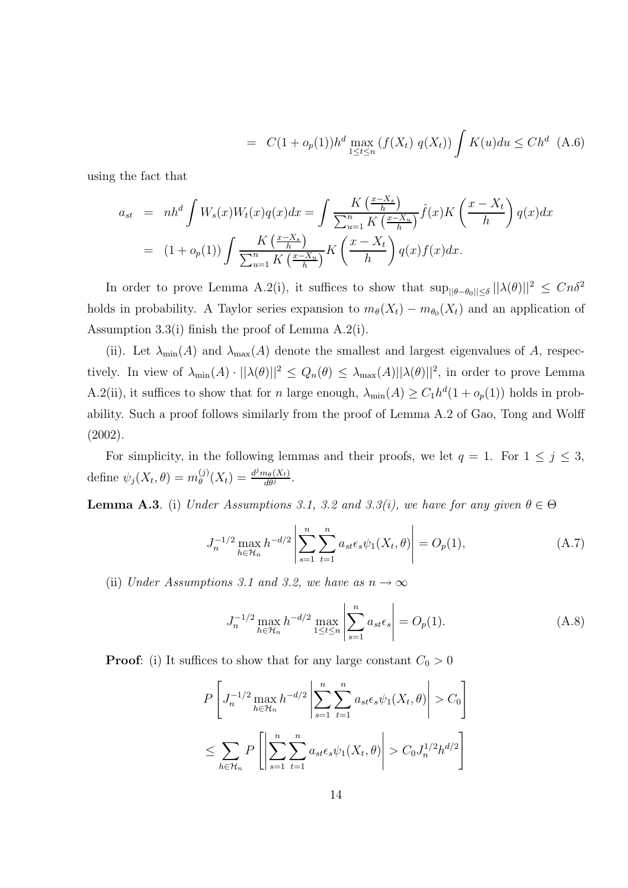$$
= C(1 + o_p(1))h^d \max_{1 \le t \le n} (f(X_t) \ q(X_t)) \int K(u) du \le Ch^d \ (A.6)
$$

using the fact that

$$
a_{st} = nh^d \int W_s(x)W_t(x)q(x)dx = \int \frac{K\left(\frac{x-X_s}{h}\right)}{\sum_{u=1}^n K\left(\frac{x-X_u}{h}\right)}\hat{f}(x)K\left(\frac{x-X_t}{h}\right)q(x)dx
$$

$$
= (1+o_p(1)) \int \frac{K\left(\frac{x-X_s}{h}\right)}{\sum_{u=1}^n K\left(\frac{x-X_u}{h}\right)}K\left(\frac{x-X_t}{h}\right)q(x)f(x)dx.
$$

In order to prove Lemma A.2(i), it suffices to show that  $\sup_{\|\theta-\theta_0\|\leq \delta} ||\lambda(\theta)||^2 \leq Cn\delta^2$ holds in probability. A Taylor series expansion to  $m_{\theta}(X_t) - m_{\theta_0}(X_t)$  and an application of Assumption 3.3(i) finish the proof of Lemma A.2(i).

(ii). Let  $\lambda_{\min}(A)$  and  $\lambda_{\max}(A)$  denote the smallest and largest eigenvalues of A, respectively. In view of  $\lambda_{\min}(A) \cdot ||\lambda(\theta)||^2 \leq Q_n(\theta) \leq \lambda_{\max}(A)||\lambda(\theta)||^2$ , in order to prove Lemma A.2(ii), it suffices to show that for n large enough,  $\lambda_{\min}(A) \geq C_1 h^d (1 + o_p(1))$  holds in probability. Such a proof follows similarly from the proof of Lemma A.2 of Gao, Tong and Wolff (2002).

For simplicity, in the following lemmas and their proofs, we let  $q = 1$ . For  $1 \leq j \leq 3$ , define  $\psi_j(X_t, \theta) = m_{\theta}^{(j)}$  $\frac{d^j m_\theta(X_t)}{\theta(X_t)} = \frac{d^j m_\theta(X_t)}{d\theta^j}$  $\frac{n_{\theta}(\Lambda_t)}{d\theta^j}$ .

**Lemma A.3**. (i) Under Assumptions 3.1, 3.2 and 3.3(i), we have for any given  $\theta \in \Theta$ 

$$
J_n^{-1/2} \max_{h \in \mathcal{H}_n} h^{-d/2} \left| \sum_{s=1}^n \sum_{t=1}^n a_{st} \epsilon_s \psi_1(X_t, \theta) \right| = O_p(1), \tag{A.7}
$$

(ii) Under Assumptions 3.1 and 3.2, we have as  $n \to \infty$ 

$$
J_n^{-1/2} \max_{h \in \mathcal{H}_n} h^{-d/2} \max_{1 \le t \le n} \left| \sum_{s=1}^n a_{st} \epsilon_s \right| = O_p(1). \tag{A.8}
$$

**Proof:** (i) It suffices to show that for any large constant  $C_0 > 0$ 

$$
P\left[J_n^{-1/2}\max_{h\in\mathcal{H}_n}h^{-d/2}\left|\sum_{s=1}^n\sum_{t=1}^n a_{st}\epsilon_s\psi_1(X_t,\theta)\right|>C_0\right]
$$
  

$$
\leq \sum_{h\in\mathcal{H}_n}P\left[\left|\sum_{s=1}^n\sum_{t=1}^n a_{st}\epsilon_s\psi_1(X_t,\theta)\right|>C_0J_n^{1/2}h^{d/2}\right]
$$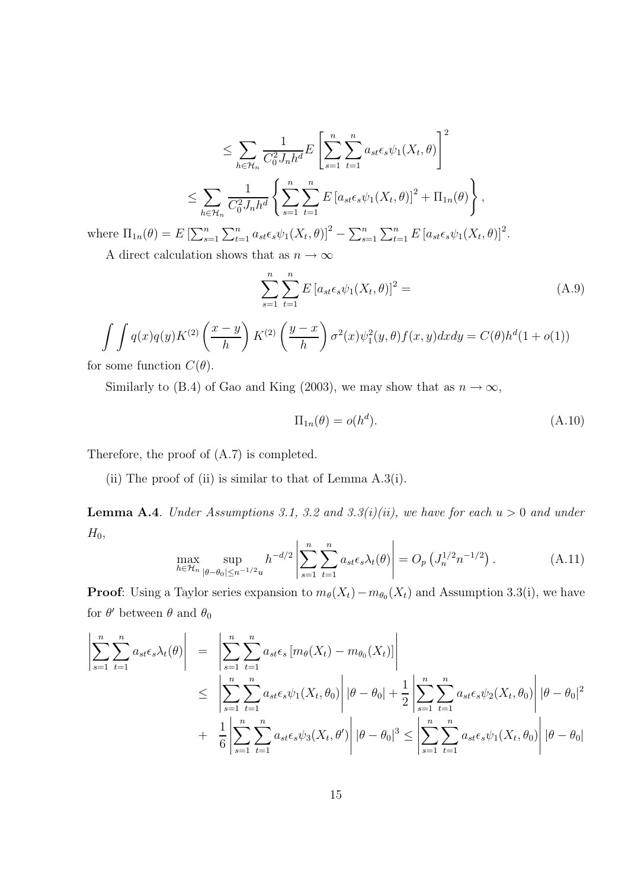$$
\leq \sum_{h \in \mathcal{H}_n} \frac{1}{C_0^2 J_n h^d} E\left[\sum_{s=1}^n \sum_{t=1}^n a_{st} \epsilon_s \psi_1(X_t, \theta)\right]^2
$$
  

$$
\leq \sum_{h \in \mathcal{H}_n} \frac{1}{C_0^2 J_n h^d} \left\{\sum_{s=1}^n \sum_{t=1}^n E\left[a_{st} \epsilon_s \psi_1(X_t, \theta)\right]^2 + \Pi_{1n}(\theta)\right\},
$$

where  $\Pi_{1n}(\theta) = E \left[ \sum_{s=1}^{n} \sum_{t=1}^{n} a_{st} \epsilon_s \psi_1(X_t, \theta) \right]^2 - \sum_{s=1}^{n} \sum_{t=1}^{n} E \left[ a_{st} \epsilon_s \psi_1(X_t, \theta) \right]^2$ . A direct calculation shows that as  $n \to \infty$ 

 $s=1$   $t=1$ 

$$
\sum^{n} \sum^{n} E\left[a_{st} \epsilon_s \psi_1(X_t, \theta)\right]^2 =
$$

$$
\int \int q(x)q(y)K^{(2)}\left(\frac{x-y}{h}\right)K^{(2)}\left(\frac{y-x}{h}\right)\sigma^2(x)\psi_1^2(y,\theta)f(x,y)dxdy = C(\theta)h^d(1+o(1))
$$

for some function  $C(\theta)$ .

Similarly to (B.4) of Gao and King (2003), we may show that as  $n \to \infty$ ,

$$
\Pi_{1n}(\theta) = o(h^d). \tag{A.10}
$$

 $(A.9)$ 

Therefore, the proof of (A.7) is completed.

(ii) The proof of (ii) is similar to that of Lemma  $A.3(i)$ .

**Lemma A.4.** Under Assumptions 3.1, 3.2 and 3.3(i)(ii), we have for each  $u > 0$  and under  $H_0$ ,

$$
\max_{h \in \mathcal{H}_n} \sup_{|\theta - \theta_0| \le n^{-1/2} u} h^{-d/2} \left| \sum_{s=1}^n \sum_{t=1}^n a_{st} \epsilon_s \lambda_t(\theta) \right| = O_p \left( J_n^{1/2} n^{-1/2} \right). \tag{A.11}
$$

**Proof**: Using a Taylor series expansion to  $m_{\theta}(X_t) - m_{\theta_0}(X_t)$  and Assumption 3.3(i), we have for  $\theta'$  between  $\theta$  and  $\theta_0$ 

$$
\left| \sum_{s=1}^{n} \sum_{t=1}^{n} a_{st} \epsilon_{s} \lambda_{t}(\theta) \right| = \left| \sum_{s=1}^{n} \sum_{t=1}^{n} a_{st} \epsilon_{s} \left[ m_{\theta}(X_{t}) - m_{\theta_{0}}(X_{t}) \right] \right|
$$
  
\n
$$
\leq \left| \sum_{s=1}^{n} \sum_{t=1}^{n} a_{st} \epsilon_{s} \psi_{1}(X_{t}, \theta_{0}) \right| |\theta - \theta_{0}| + \frac{1}{2} \left| \sum_{s=1}^{n} \sum_{t=1}^{n} a_{st} \epsilon_{s} \psi_{2}(X_{t}, \theta_{0}) \right| |\theta - \theta_{0}|^{2}
$$
  
\n
$$
+ \left| \frac{1}{6} \left| \sum_{s=1}^{n} \sum_{t=1}^{n} a_{st} \epsilon_{s} \psi_{3}(X_{t}, \theta') \right| |\theta - \theta_{0}|^{3} \leq \left| \sum_{s=1}^{n} \sum_{t=1}^{n} a_{st} \epsilon_{s} \psi_{1}(X_{t}, \theta_{0}) \right| |\theta - \theta_{0}|
$$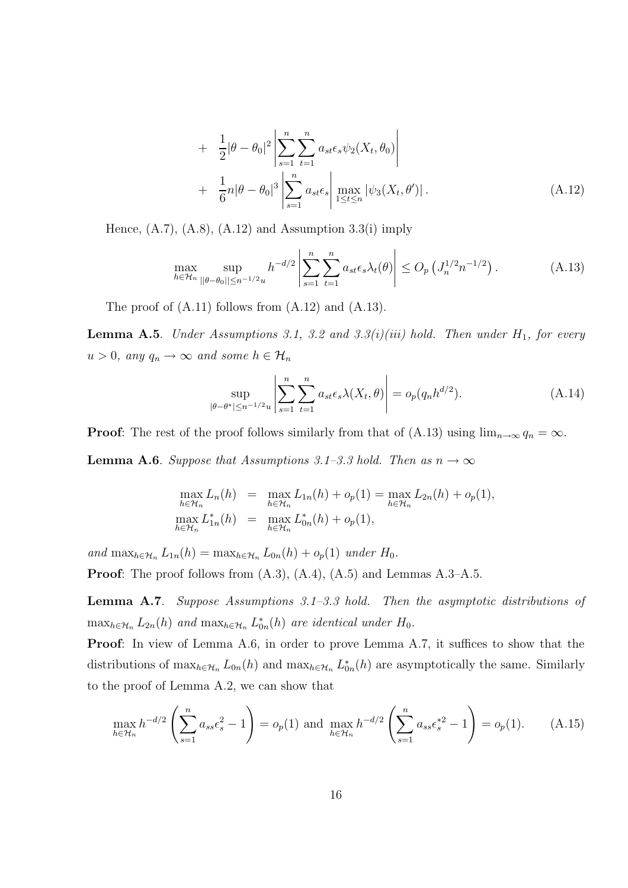+ 
$$
\frac{1}{2}|\theta - \theta_0|^2 \left| \sum_{s=1}^n \sum_{t=1}^n a_{st} \epsilon_s \psi_2(X_t, \theta_0) \right|
$$
  
+  $\frac{1}{6}n|\theta - \theta_0|^3 \left| \sum_{s=1}^n a_{st} \epsilon_s \right| \max_{1 \le t \le n} |\psi_3(X_t, \theta')|.$  (A.12)

Hence,  $(A.7)$ ,  $(A.8)$ ,  $(A.12)$  and Assumption 3.3(i) imply

$$
\max_{h \in \mathcal{H}_n} \sup_{\|\theta - \theta_0\| \le n^{-1/2} u} h^{-d/2} \left| \sum_{s=1}^n \sum_{t=1}^n a_{st} \epsilon_s \lambda_t(\theta) \right| \le O_p\left(J_n^{1/2} n^{-1/2}\right). \tag{A.13}
$$

The proof of  $(A.11)$  follows from  $(A.12)$  and  $(A.13)$ .

**Lemma A.5.** Under Assumptions 3.1, 3.2 and 3.3(i)(iii) hold. Then under  $H_1$ , for every  $u > 0$ , any  $q_n \to \infty$  and some  $h \in \mathcal{H}_n$ 

$$
\sup_{|\theta - \theta^*| \le n^{-1/2}u} \left| \sum_{s=1}^n \sum_{t=1}^n a_{st} \epsilon_s \lambda(X_t, \theta) \right| = o_p(q_n h^{d/2}). \tag{A.14}
$$

**Proof:** The rest of the proof follows similarly from that of (A.13) using  $\lim_{n\to\infty} q_n = \infty$ .

**Lemma A.6.** Suppose that Assumptions 3.1–3.3 hold. Then as  $n \to \infty$ 

$$
\max_{h \in \mathcal{H}_n} L_n(h) = \max_{h \in \mathcal{H}_n} L_{1n}(h) + o_p(1) = \max_{h \in \mathcal{H}_n} L_{2n}(h) + o_p(1),
$$
  

$$
\max_{h \in \mathcal{H}_n} L_{1n}^*(h) = \max_{h \in \mathcal{H}_n} L_{0n}^*(h) + o_p(1),
$$

and  $\max_{h \in \mathcal{H}_n} L_{1n}(h) = \max_{h \in \mathcal{H}_n} L_{0n}(h) + o_p(1)$  under  $H_0$ .

**Proof:** The proof follows from  $(A.3)$ ,  $(A.4)$ ,  $(A.5)$  and Lemmas  $A.3-A.5$ .

Lemma A.7. Suppose Assumptions 3.1–3.3 hold. Then the asymptotic distributions of  $\max_{h \in \mathcal{H}_n} L_{2n}(h)$  and  $\max_{h \in \mathcal{H}_n} L_{0n}^*(h)$  are identical under  $H_0$ .

Proof: In view of Lemma A.6, in order to prove Lemma A.7, it suffices to show that the distributions of  $\max_{h \in \mathcal{H}_n} L_{0n}(h)$  and  $\max_{h \in \mathcal{H}_n} L_{0n}^*(h)$  are asymptotically the same. Similarly to the proof of Lemma A.2, we can show that

$$
\max_{h \in \mathcal{H}_n} h^{-d/2} \left( \sum_{s=1}^n a_{ss} \epsilon_s^2 - 1 \right) = o_p(1) \text{ and } \max_{h \in \mathcal{H}_n} h^{-d/2} \left( \sum_{s=1}^n a_{ss} \epsilon_s^{*2} - 1 \right) = o_p(1). \tag{A.15}
$$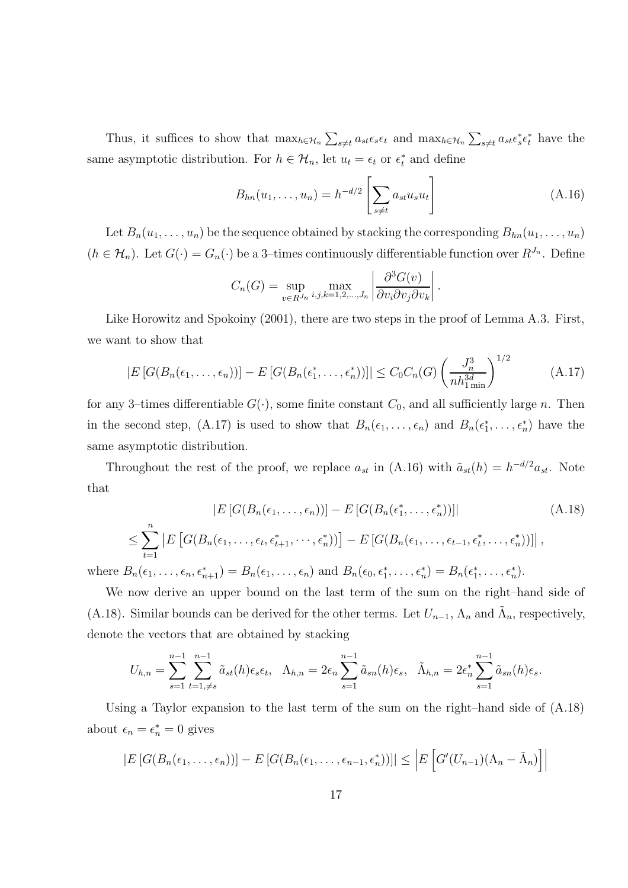Thus, it suffices to show that  $\max_{h \in \mathcal{H}_n} \sum_{s \neq t} a_{st} \epsilon_s \epsilon_t$  and  $\max_{h \in \mathcal{H}_n} \sum_{s \neq t} a_{st} \epsilon_s^* \epsilon_t^*$  have the same asymptotic distribution. For  $h \in \mathcal{H}_n$ , let  $u_t = \epsilon_t$  or  $\epsilon_t^*$  and define

$$
B_{hn}(u_1, ..., u_n) = h^{-d/2} \left[ \sum_{s \neq t} a_{st} u_s u_t \right]
$$
 (A.16)

.

Let  $B_n(u_1, \ldots, u_n)$  be the sequence obtained by stacking the corresponding  $B_{hn}(u_1, \ldots, u_n)$  $(h \in \mathcal{H}_n)$ . Let  $G(\cdot) = G_n(\cdot)$  be a 3-times continuously differentiable function over  $R^{J_n}$ . Define

$$
C_n(G) = \sup_{v \in R^{J_n}} \max_{i,j,k=1,2,\dots,J_n} \left| \frac{\partial^3 G(v)}{\partial v_i \partial v_j \partial v_k} \right|
$$

Like Horowitz and Spokoiny (2001), there are two steps in the proof of Lemma A.3. First, we want to show that

$$
|E\left[G(B_n(\epsilon_1,\ldots,\epsilon_n))\right] - E\left[G(B_n(\epsilon_1^*,\ldots,\epsilon_n^*))\right]| \leq C_0 C_n(G) \left(\frac{J_n^3}{nh_{1\min}^{3d}}\right)^{1/2}
$$
\n(A.17)

for any 3-times differentiable  $G(\cdot)$ , some finite constant  $C_0$ , and all sufficiently large n. Then in the second step, (A.17) is used to show that  $B_n(\epsilon_1, \ldots, \epsilon_n)$  and  $B_n(\epsilon_1^*, \ldots, \epsilon_n^*)$  have the same asymptotic distribution.

Throughout the rest of the proof, we replace  $a_{st}$  in (A.16) with  $\tilde{a}_{st}(h) = h^{-d/2} a_{st}$ . Note that

$$
|E\left[G(B_n(\epsilon_1,\ldots,\epsilon_n))\right] - E\left[G(B_n(\epsilon_1^*,\ldots,\epsilon_n^*))\right] \tag{A.18}
$$
\n
$$
\leq \sum_{t=1}^n |E\left[G(B_n(\epsilon_1,\ldots,\epsilon_t,\epsilon_{t+1}^*,\cdots,\epsilon_n^*))\right] - E\left[G(B_n(\epsilon_1,\ldots,\epsilon_{t-1},\epsilon_t^*,\ldots,\epsilon_n^*))\right],
$$

where  $B_n(\epsilon_1,\ldots,\epsilon_n,\epsilon_{n+1}^*) = B_n(\epsilon_1,\ldots,\epsilon_n)$  and  $B_n(\epsilon_0,\epsilon_1^*,\ldots,\epsilon_n^*) = B_n(\epsilon_1^*,\ldots,\epsilon_n^*)$ .

We now derive an upper bound on the last term of the sum on the right–hand side of (A.18). Similar bounds can be derived for the other terms. Let  $U_{n-1}$ ,  $\Lambda_n$  and  $\tilde{\Lambda}_n$ , respectively, denote the vectors that are obtained by stacking

$$
U_{h,n} = \sum_{s=1}^{n-1} \sum_{t=1,\neq s}^{n-1} \tilde{a}_{st}(h)\epsilon_s \epsilon_t, \quad \Lambda_{h,n} = 2\epsilon_n \sum_{s=1}^{n-1} \tilde{a}_{sn}(h)\epsilon_s, \quad \tilde{\Lambda}_{h,n} = 2\epsilon_n^* \sum_{s=1}^{n-1} \tilde{a}_{sn}(h)\epsilon_s.
$$

Using a Taylor expansion to the last term of the sum on the right–hand side of (A.18) about  $\epsilon_n = \epsilon_n^* = 0$  gives

$$
|E\left[G(B_n(\epsilon_1,\ldots,\epsilon_n))\right] - E\left[G(B_n(\epsilon_1,\ldots,\epsilon_{n-1},\epsilon_n^*))\right] \leq \left|E\left[G'(U_{n-1})(\Lambda_n - \tilde{\Lambda}_n)\right]\right|
$$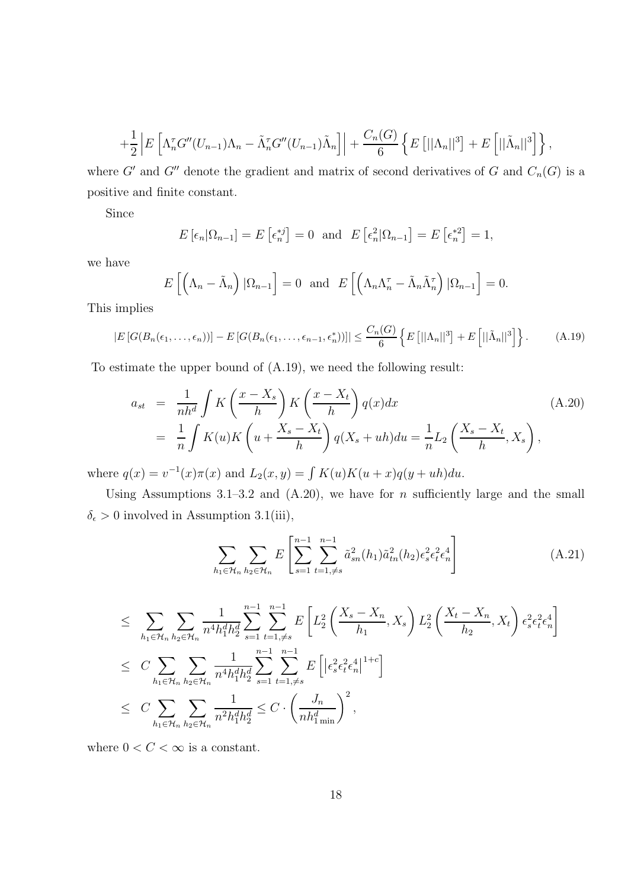$$
+\frac{1}{2}\left|E\left[\Lambda_n^{\tau}G''(U_{n-1})\Lambda_n-\tilde{\Lambda}_n^{\tau}G''(U_{n-1})\tilde{\Lambda}_n\right]\right|+\frac{C_n(G)}{6}\left\{E\left[||\Lambda_n||^3\right]+E\left[||\tilde{\Lambda}_n||^3\right]\right\},\,
$$

where G' and G'' denote the gradient and matrix of second derivatives of G and  $C_n(G)$  is a positive and finite constant.

Since

$$
E\left[\epsilon_n|\Omega_{n-1}\right] = E\left[\epsilon_n^{*j}\right] = 0 \text{ and } E\left[\epsilon_n^{2}|\Omega_{n-1}\right] = E\left[\epsilon_n^{*2}\right] = 1,
$$

we have

$$
E\left[\left(\Lambda_n - \tilde{\Lambda}_n\right)|\Omega_{n-1}\right] = 0 \text{ and } E\left[\left(\Lambda_n\Lambda_n^{\tau} - \tilde{\Lambda}_n\tilde{\Lambda}_n^{\tau}\right)|\Omega_{n-1}\right] = 0.
$$

This implies

$$
|E\left[G(B_n(\epsilon_1,\ldots,\epsilon_n))\right] - E\left[G(B_n(\epsilon_1,\ldots,\epsilon_{n-1},\epsilon_n^*))\right]| \leq \frac{C_n(G)}{6} \left\{ E\left[||\Lambda_n||^3\right] + E\left[||\tilde{\Lambda}_n||^3\right] \right\}.
$$
 (A.19)

To estimate the upper bound of (A.19), we need the following result:

$$
a_{st} = \frac{1}{nh^d} \int K\left(\frac{x - X_s}{h}\right) K\left(\frac{x - X_t}{h}\right) q(x) dx
$$
  
= 
$$
\frac{1}{n} \int K(u) K\left(u + \frac{X_s - X_t}{h}\right) q(X_s + uh) du = \frac{1}{n} L_2\left(\frac{X_s - X_t}{h}, X_s\right),
$$
 (A.20)

where  $q(x) = v^{-1}(x)\pi(x)$  and  $L_2(x, y) = \int K(u)K(u+x)q(y+uh)du$ .

Using Assumptions 3.1–3.2 and  $(A.20)$ , we have for *n* sufficiently large and the small  $\delta_\epsilon > 0$  involved in Assumption 3.1(iii),

$$
\sum_{h_1 \in \mathcal{H}_n} \sum_{h_2 \in \mathcal{H}_n} E\left[\sum_{s=1}^{n-1} \sum_{t=1,\neq s}^{n-1} \tilde{a}_{sn}^2(h_1) \tilde{a}_{tn}^2(h_2) \epsilon_s^2 \epsilon_t^2 \epsilon_n^4\right]
$$
(A.21)

$$
\leq \sum_{h_1 \in \mathcal{H}_n} \sum_{h_2 \in \mathcal{H}_n} \frac{1}{n^4 h_1^d h_2^d} \sum_{s=1}^{n-1} \sum_{t=1,\neq s}^{n-1} E\left[L_2^2\left(\frac{X_s - X_n}{h_1}, X_s\right) L_2^2\left(\frac{X_t - X_n}{h_2}, X_t\right) \epsilon_s^2 \epsilon_t^2 \epsilon_n^4\right] \leq C \sum_{h_1 \in \mathcal{H}_n} \sum_{h_2 \in \mathcal{H}_n} \frac{1}{n^4 h_1^d h_2^d} \sum_{s=1}^{n-1} \sum_{t=1,\neq s}^{n-1} E\left[\left|\epsilon_s^2 \epsilon_t^2 \epsilon_n^4\right|^{1+c}\right] \leq C \sum_{h_1 \in \mathcal{H}_n} \sum_{h_2 \in \mathcal{H}_n} \frac{1}{n^2 h_1^d h_2^d} \leq C \cdot \left(\frac{J_n}{n h_1^d \min}\right)^2,
$$

where  $0 < C < \infty$  is a constant.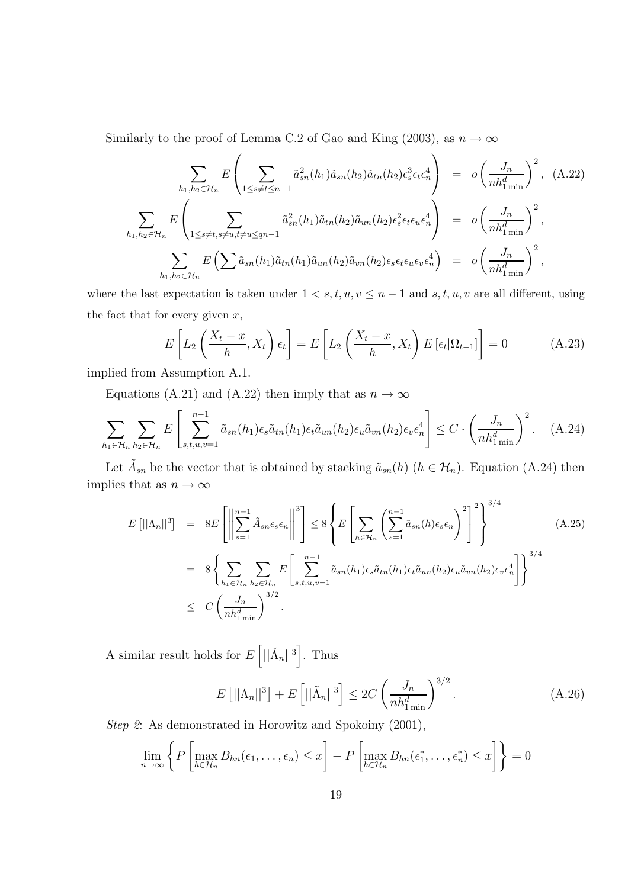Similarly to the proof of Lemma C.2 of Gao and King (2003), as  $n \to \infty$ 

$$
\sum_{h_1, h_2 \in \mathcal{H}_n} E\left(\sum_{1 \le s \ne t \le n-1} \tilde{a}_{sn}^2(h_1)\tilde{a}_{sn}(h_2)\tilde{a}_{tn}(h_2)\epsilon_s^3 \epsilon_t \epsilon_n^4\right) = o\left(\frac{J_n}{nh_{1\min}^d}\right)^2, (A.22)
$$
\n
$$
\sum_{h_1, h_2 \in \mathcal{H}_n} E\left(\sum_{1 \le s \ne t, s \ne u, t \ne u \le qn-1} \tilde{a}_{sn}^2(h_1)\tilde{a}_{tn}(h_2)\tilde{a}_{un}(h_2)\epsilon_s^2 \epsilon_t \epsilon_u \epsilon_n^4\right) = o\left(\frac{J_n}{nh_{1\min}^d}\right)^2,
$$
\n
$$
\sum_{h_1, h_2 \in \mathcal{H}_n} E\left(\sum \tilde{a}_{sn}(h_1)\tilde{a}_{tn}(h_1)\tilde{a}_{un}(h_2)\tilde{a}_{vn}(h_2)\epsilon_s \epsilon_t \epsilon_u \epsilon_v \epsilon_n^4\right) = o\left(\frac{J_n}{nh_{1\min}^d}\right)^2,
$$

where the last expectation is taken under  $1 \lt s, t, u, v \leq n-1$  and  $s, t, u, v$  are all different, using the fact that for every given  $x$ ,

$$
E\left[L_2\left(\frac{X_t - x}{h}, X_t\right)\epsilon_t\right] = E\left[L_2\left(\frac{X_t - x}{h}, X_t\right)E\left[\epsilon_t|\Omega_{t-1}\right]\right] = 0\tag{A.23}
$$

implied from Assumption A.1.

Equations (A.21) and (A.22) then imply that as  $n \to \infty$ 

$$
\sum_{h_1 \in \mathcal{H}_n} \sum_{h_2 \in \mathcal{H}_n} E\left[\sum_{s,t,u,v=1}^{n-1} \tilde{a}_{sn}(h_1) \epsilon_s \tilde{a}_{tn}(h_1) \epsilon_t \tilde{a}_{un}(h_2) \epsilon_u \tilde{a}_{vn}(h_2) \epsilon_v \epsilon_n^4\right] \leq C \cdot \left(\frac{J_n}{nh_{1\min}^d}\right)^2. \tag{A.24}
$$

Let  $\tilde{A}_{sn}$  be the vector that is obtained by stacking  $\tilde{a}_{sn}(h)$   $(h \in \mathcal{H}_n)$ . Equation (A.24) then implies that as  $n \to \infty$ 

$$
E[||\Lambda_n||^3] = 8E\left[\left\|\sum_{s=1}^{n-1} \tilde{A}_{sn}\epsilon_s \epsilon_n\right\|^3\right] \le 8\left\{E\left[\sum_{h\in\mathcal{H}_n} \left(\sum_{s=1}^{n-1} \tilde{a}_{sn}(h)\epsilon_s \epsilon_n\right)^2\right]^2\right\}^{3/4}
$$
\n
$$
= 8\left\{\sum_{h_1\in\mathcal{H}_n} \sum_{h_2\in\mathcal{H}_n} E\left[\sum_{s,t,u,v=1}^{n-1} \tilde{a}_{sn}(h_1)\epsilon_s \tilde{a}_{tn}(h_1)\epsilon_t \tilde{a}_{un}(h_2)\epsilon_u \tilde{a}_{vn}(h_2)\epsilon_v \epsilon_n^4\right]\right\}^{3/4}
$$
\n
$$
\le C\left(\frac{J_n}{nh_{1\min}^d}\right)^{3/2}.
$$
\n(A.25)

A similar result holds for  $E\left[||\tilde{\Lambda}_n||^3\right]$ . Thus

$$
E\left[||\Lambda_n||^3\right] + E\left[||\tilde{\Lambda}_n||^3\right] \le 2C\left(\frac{J_n}{nh_{1\min}^d}\right)^{3/2}.\tag{A.26}
$$

Step 2: As demonstrated in Horowitz and Spokoiny (2001),

$$
\lim_{n \to \infty} \left\{ P \left[ \max_{h \in \mathcal{H}_n} B_{hn}(\epsilon_1, \dots, \epsilon_n) \le x \right] - P \left[ \max_{h \in \mathcal{H}_n} B_{hn}(\epsilon_1^*, \dots, \epsilon_n^*) \le x \right] \right\} = 0
$$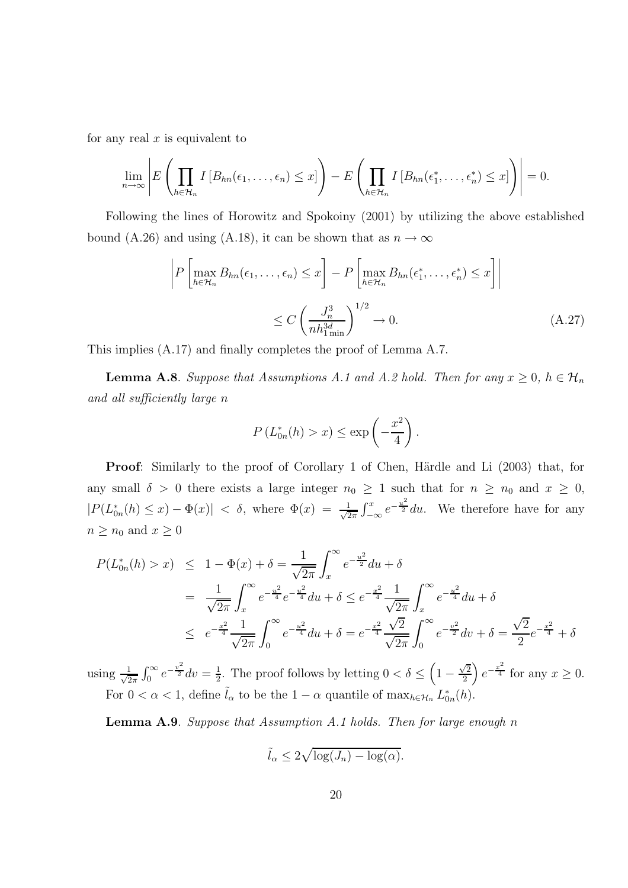for any real  $x$  is equivalent to

 $\overline{\phantom{a}}$  $\mathsf{I}$  $\mathsf{I}$  $\begin{array}{c} \hline \end{array}$ 

$$
\lim_{n\to\infty}\left|E\left(\prod_{h\in\mathcal{H}_n}I\left[B_{hn}(\epsilon_1,\ldots,\epsilon_n)\leq x\right]\right)-E\left(\prod_{h\in\mathcal{H}_n}I\left[B_{hn}(\epsilon_1^*,\ldots,\epsilon_n^*)\leq x\right]\right)\right|=0.
$$

Following the lines of Horowitz and Spokoiny (2001) by utilizing the above established bound (A.26) and using (A.18), it can be shown that as  $n \to \infty$ 

$$
P\left[\max_{h\in\mathcal{H}_n} B_{hn}(\epsilon_1,\ldots,\epsilon_n) \le x\right] - P\left[\max_{h\in\mathcal{H}_n} B_{hn}(\epsilon_1^*,\ldots,\epsilon_n^*) \le x\right]\right]
$$

$$
\le C\left(\frac{J_n^3}{nh_{1\min}^{3d}}\right)^{1/2} \to 0.
$$
(A.27)

This implies (A.17) and finally completes the proof of Lemma A.7.

**Lemma A.8**. Suppose that Assumptions A.1 and A.2 hold. Then for any  $x \ge 0$ ,  $h \in \mathcal{H}_n$ and all sufficiently large n

$$
P\left(L_{0n}^*(h) > x\right) \le \exp\left(-\frac{x^2}{4}\right).
$$

**Proof:** Similarly to the proof of Corollary 1 of Chen, Härdle and Li (2003) that, for any small  $\delta > 0$  there exists a large integer  $n_0 \geq 1$  such that for  $n \geq n_0$  and  $x \geq 0$ ,  $|P(L_{0n}^*(h) \leq x) - \Phi(x)| \leq \delta$ , where  $\Phi(x) = \frac{1}{\sqrt{2}}$  $\frac{1}{2\pi} \int_{-\infty}^{x} e^{-\frac{u^2}{2}} du$ . We therefore have for any  $n\geq n_0$  and  $x\geq 0$ 

$$
P(L_{0n}^{*}(h) > x) \leq 1 - \Phi(x) + \delta = \frac{1}{\sqrt{2\pi}} \int_{x}^{\infty} e^{-\frac{u^{2}}{2}} du + \delta
$$
  

$$
= \frac{1}{\sqrt{2\pi}} \int_{x}^{\infty} e^{-\frac{u^{2}}{4}} e^{-\frac{u^{2}}{4}} du + \delta \leq e^{-\frac{x^{2}}{4}} \frac{1}{\sqrt{2\pi}} \int_{x}^{\infty} e^{-\frac{u^{2}}{4}} du + \delta
$$
  

$$
\leq e^{-\frac{x^{2}}{4}} \frac{1}{\sqrt{2\pi}} \int_{0}^{\infty} e^{-\frac{u^{2}}{4}} du + \delta = e^{-\frac{x^{2}}{4}} \frac{\sqrt{2}}{\sqrt{2\pi}} \int_{0}^{\infty} e^{-\frac{v^{2}}{2}} dv + \delta = \frac{\sqrt{2}}{2} e^{-\frac{x^{2}}{4}} + \delta
$$

using  $\frac{1}{\sqrt{2}}$  $\frac{1}{2\pi} \int_0^\infty e^{-\frac{v^2}{2}} dv = \frac{1}{2}$  $\frac{1}{2}$ . The proof follows by letting  $0 < \delta \leq \left(1 - \frac{\sqrt{2}}{2}\right)$  $\frac{\sqrt{2}}{2}$   $e^{-\frac{x^2}{4}}$  for any  $x \ge 0$ . For  $0 < \alpha < 1$ , define  $\tilde{l}_{\alpha}$  to be the  $1 - \alpha$  quantile of  $\max_{h \in \mathcal{H}_n} L^*_{0n}(h)$ .

**Lemma A.9.** Suppose that Assumption A.1 holds. Then for large enough n

$$
\tilde{l}_{\alpha} \le 2\sqrt{\log(J_n) - \log(\alpha)}.
$$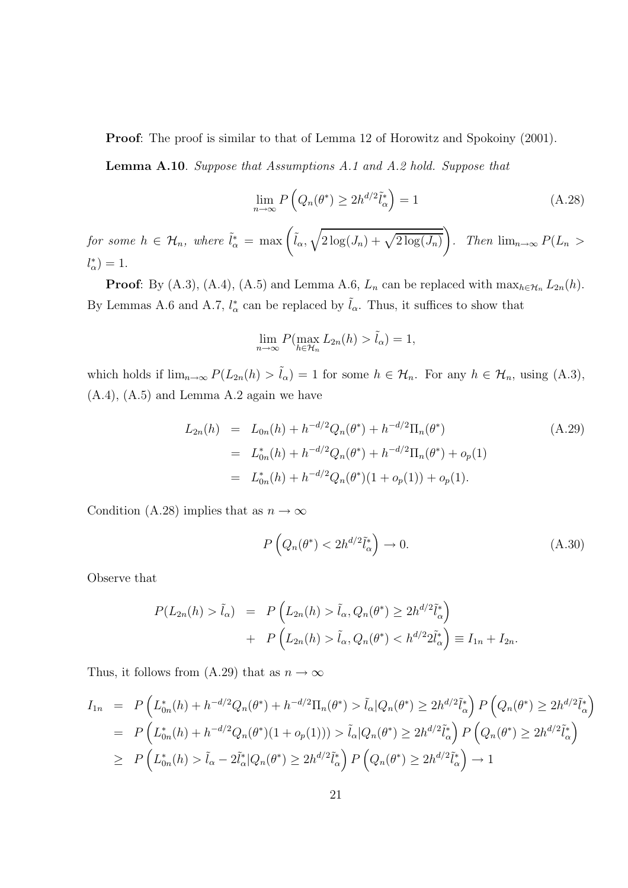Proof: The proof is similar to that of Lemma 12 of Horowitz and Spokoiny (2001).

Lemma A.10. Suppose that Assumptions A.1 and A.2 hold. Suppose that

$$
\lim_{n \to \infty} P\left(Q_n(\theta^*) \ge 2h^{d/2}\tilde{l}_\alpha^*\right) = 1\tag{A.28}
$$

for some  $h \in \mathcal{H}_n$ , where  $\tilde{l}_{\alpha}^* = \max\left(\tilde{l}_{\alpha}, \sqrt{2\log(J_n) + \sqrt{2\log(J_n)}}\right)$  $\setminus$ . Then  $\lim_{n\to\infty} P(L_n >$  $l_{\alpha}^{\ast}\big) = 1.$ 

**Proof**: By (A.3), (A.4), (A.5) and Lemma A.6,  $L_n$  can be replaced with  $\max_{h \in \mathcal{H}_n} L_{2n}(h)$ . By Lemmas A.6 and A.7,  $l^*_{\alpha}$  can be replaced by  $\tilde{l}_{\alpha}$ . Thus, it suffices to show that

$$
\lim_{n \to \infty} P(\max_{h \in \mathcal{H}_n} L_{2n}(h) > \tilde{l}_\alpha) = 1,
$$

which holds if  $\lim_{n\to\infty} P(L_{2n}(h) > \tilde{l}_{\alpha}) = 1$  for some  $h \in \mathcal{H}_n$ . For any  $h \in \mathcal{H}_n$ , using (A.3),  $(A.4)$ ,  $(A.5)$  and Lemma A.2 again we have

$$
L_{2n}(h) = L_{0n}(h) + h^{-d/2} Q_n(\theta^*) + h^{-d/2} \Pi_n(\theta^*)
$$
\n
$$
= L_{0n}^*(h) + h^{-d/2} Q_n(\theta^*) + h^{-d/2} \Pi_n(\theta^*) + o_p(1)
$$
\n
$$
= L_{0n}^*(h) + h^{-d/2} Q_n(\theta^*)(1 + o_p(1)) + o_p(1).
$$
\n(A.29)

Condition (A.28) implies that as  $n \to \infty$ 

$$
P\left(Q_n(\theta^*) < 2h^{d/2}\tilde{l}_\alpha^*\right) \to 0. \tag{A.30}
$$

Observe that

$$
P(L_{2n}(h) > \tilde{l}_{\alpha}) = P\left(L_{2n}(h) > \tilde{l}_{\alpha}, Q_{n}(\theta^{*}) \ge 2h^{d/2}\tilde{l}_{\alpha}^{*}\right)
$$
  
+ 
$$
P\left(L_{2n}(h) > \tilde{l}_{\alpha}, Q_{n}(\theta^{*}) < h^{d/2}2\tilde{l}_{\alpha}^{*}\right) \equiv I_{1n} + I_{2n}.
$$

Thus, it follows from (A.29) that as  $n \to \infty$ 

$$
I_{1n} = P\left(L_{0n}^{*}(h) + h^{-d/2}Q_{n}(\theta^{*}) + h^{-d/2}\Pi_{n}(\theta^{*}) > \tilde{l}_{\alpha}|Q_{n}(\theta^{*}) \ge 2h^{d/2}\tilde{l}_{\alpha}^{*}\right)P\left(Q_{n}(\theta^{*}) \ge 2h^{d/2}\tilde{l}_{\alpha}^{*}\right)
$$
  
\n
$$
= P\left(L_{0n}^{*}(h) + h^{-d/2}Q_{n}(\theta^{*})(1 + o_{p}(1))) > \tilde{l}_{\alpha}|Q_{n}(\theta^{*}) \ge 2h^{d/2}\tilde{l}_{\alpha}^{*}\right)P\left(Q_{n}(\theta^{*}) \ge 2h^{d/2}\tilde{l}_{\alpha}^{*}\right)
$$
  
\n
$$
\ge P\left(L_{0n}^{*}(h) > \tilde{l}_{\alpha} - 2\tilde{l}_{\alpha}^{*}|Q_{n}(\theta^{*}) \ge 2h^{d/2}\tilde{l}_{\alpha}^{*}\right)P\left(Q_{n}(\theta^{*}) \ge 2h^{d/2}\tilde{l}_{\alpha}^{*}\right) \to 1
$$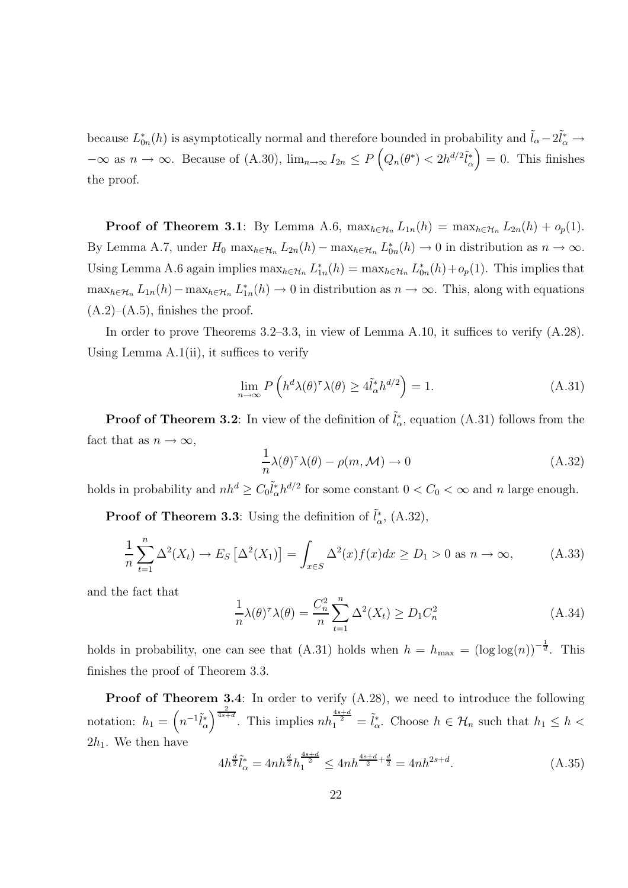because  $L_{0n}^*(h)$  is asymptotically normal and therefore bounded in probability and  $\tilde{l}_{\alpha}-2\tilde{l}_{\alpha}^* \to$  $-\infty$  as  $n \to \infty$ . Because of (A.30),  $\lim_{n \to \infty} I_{2n} \le P\left(Q_n(\theta^*) \lt 2h^{d/2}\tilde{l}_{\alpha}^*\right) = 0$ . This finishes the proof.

**Proof of Theorem 3.1**: By Lemma A.6,  $\max_{h \in \mathcal{H}_n} L_{1n}(h) = \max_{h \in \mathcal{H}_n} L_{2n}(h) + o_p(1)$ . By Lemma A.7, under  $H_0$  max $_{h \in \mathcal{H}_n} L_{2n}(h) - \max_{h \in \mathcal{H}_n} L_{0n}^*(h) \to 0$  in distribution as  $n \to \infty$ . Using Lemma A.6 again implies  $\max_{h \in H_n} L_{1n}^*(h) = \max_{h \in H_n} L_{0n}^*(h) + o_p(1)$ . This implies that  $\max_{h \in \mathcal{H}_n} L_{1n}(h) - \max_{h \in \mathcal{H}_n} L_{1n}(h) \to 0$  in distribution as  $n \to \infty$ . This, along with equations  $(A.2)$ – $(A.5)$ , finishes the proof.

In order to prove Theorems 3.2–3.3, in view of Lemma A.10, it suffices to verify  $(A.28)$ . Using Lemma A.1(ii), it suffices to verify

$$
\lim_{n \to \infty} P\left(h^d \lambda(\theta)^\tau \lambda(\theta) \ge 4\tilde{l}_\alpha^* h^{d/2}\right) = 1. \tag{A.31}
$$

**Proof of Theorem 3.2**: In view of the definition of  $\tilde{l}^*_{\alpha}$ , equation (A.31) follows from the fact that as  $n \to \infty$ ,

$$
\frac{1}{n}\lambda(\theta)^{\tau}\lambda(\theta) - \rho(m,\mathcal{M}) \to 0
$$
\n(A.32)

holds in probability and  $nh^d \geq C_0 \tilde{l}_\alpha^* h^{d/2}$  for some constant  $0 < C_0 < \infty$  and n large enough.

**Proof of Theorem 3.3**: Using the definition of  $\tilde{l}_{\alpha}^{*}$ , (A.32),

$$
\frac{1}{n}\sum_{t=1}^{n}\Delta^{2}(X_{t})\rightarrow E_{S}\left[\Delta^{2}(X_{1})\right]=\int_{x\in S}\Delta^{2}(x)f(x)dx\ge D_{1}>0 \text{ as } n\rightarrow\infty,
$$
\n(A.33)

and the fact that

$$
\frac{1}{n}\lambda(\theta)^{\tau}\lambda(\theta) = \frac{C_n^2}{n}\sum_{t=1}^n \Delta^2(X_t) \ge D_1 C_n^2
$$
\n(A.34)

holds in probability, one can see that (A.31) holds when  $h = h_{\text{max}} = (\log \log(n))^{-\frac{1}{d}}$ . This finishes the proof of Theorem 3.3.

Proof of Theorem 3.4: In order to verify  $(A.28)$ , we need to introduce the following notation:  $h_1 = \left(n^{-1}\tilde{l}_{\alpha}^*\right)^{\frac{2}{4s+d}}$ . This implies  $nh_1^{\frac{4s+d}{2}} = \tilde{l}_{\alpha}^*$ . Choose  $h \in \mathcal{H}_n$  such that  $h_1 \leq h <$  $2h_1$ . We then have

$$
4h^{\frac{d}{2}}\tilde{l}_{\alpha}^{*} = 4nh^{\frac{d}{2}}h_1^{\frac{4s+d}{2}} \le 4nh^{\frac{4s+d}{2}+\frac{d}{2}} = 4nh^{2s+d}.\tag{A.35}
$$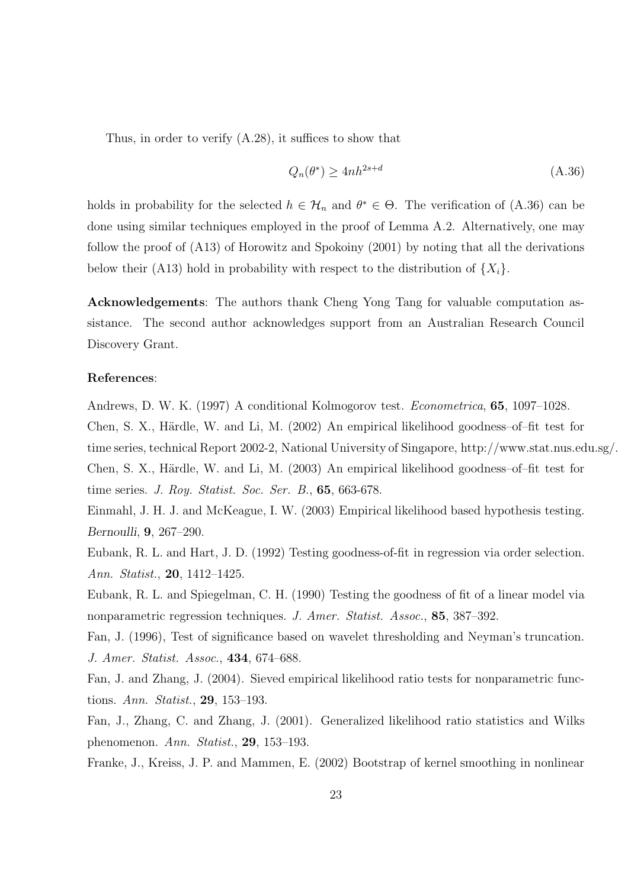Thus, in order to verify (A.28), it suffices to show that

$$
Q_n(\theta^*) \ge 4nh^{2s+d} \tag{A.36}
$$

holds in probability for the selected  $h \in \mathcal{H}_n$  and  $\theta^* \in \Theta$ . The verification of (A.36) can be done using similar techniques employed in the proof of Lemma A.2. Alternatively, one may follow the proof of (A13) of Horowitz and Spokoiny (2001) by noting that all the derivations below their (A13) hold in probability with respect to the distribution of  $\{X_i\}$ .

Acknowledgements: The authors thank Cheng Yong Tang for valuable computation assistance. The second author acknowledges support from an Australian Research Council Discovery Grant.

#### References:

Andrews, D. W. K. (1997) A conditional Kolmogorov test. Econometrica, 65, 1097–1028. Chen, S. X., Härdle, W. and Li, M. (2002) An empirical likelihood goodness-of-fit test for time series, technical Report 2002-2, National University of Singapore, http://www.stat.nus.edu.sg/. Chen, S. X., Härdle, W. and Li, M. (2003) An empirical likelihood goodness-of-fit test for time series. J. Roy. Statist. Soc. Ser. B., 65, 663-678.

Einmahl, J. H. J. and McKeague, I. W. (2003) Empirical likelihood based hypothesis testing. Bernoulli, 9, 267–290.

Eubank, R. L. and Hart, J. D. (1992) Testing goodness-of-fit in regression via order selection. Ann. Statist., 20, 1412–1425.

Eubank, R. L. and Spiegelman, C. H. (1990) Testing the goodness of fit of a linear model via nonparametric regression techniques. J. Amer. Statist. Assoc., 85, 387–392.

Fan, J. (1996), Test of significance based on wavelet thresholding and Neyman's truncation. J. Amer. Statist. Assoc., 434, 674–688.

Fan, J. and Zhang, J. (2004). Sieved empirical likelihood ratio tests for nonparametric functions. Ann. Statist., 29, 153–193.

Fan, J., Zhang, C. and Zhang, J. (2001). Generalized likelihood ratio statistics and Wilks phenomenon. Ann. Statist., 29, 153–193.

Franke, J., Kreiss, J. P. and Mammen, E. (2002) Bootstrap of kernel smoothing in nonlinear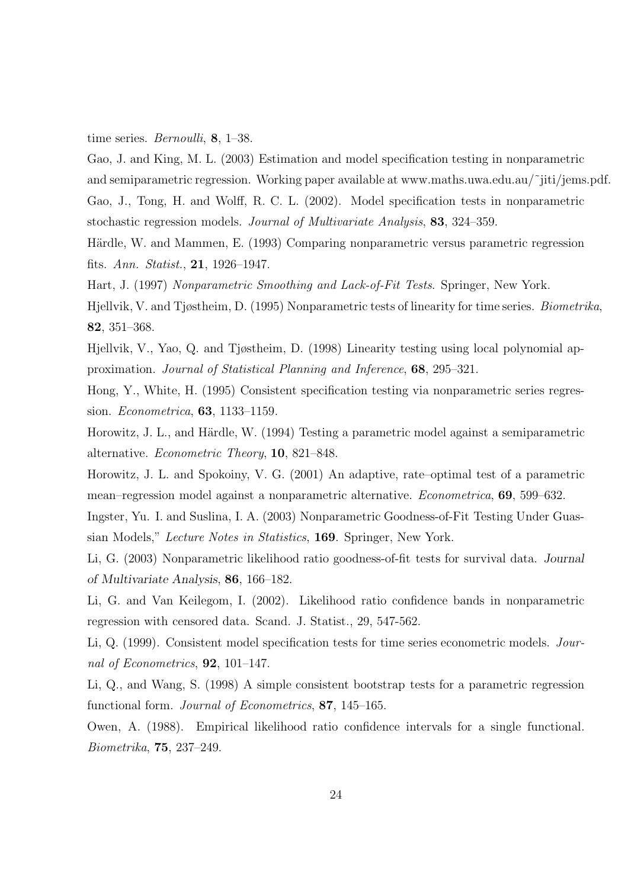time series. *Bernoulli*, **8**, 1–38.

Gao, J. and King, M. L. (2003) Estimation and model specification testing in nonparametric and semiparametric regression. Working paper available at www.maths.uwa.edu.au/~jiti/jems.pdf. Gao, J., Tong, H. and Wolff, R. C. L. (2002). Model specification tests in nonparametric stochastic regression models. Journal of Multivariate Analysis, 83, 324–359.

Härdle, W. and Mammen, E. (1993) Comparing nonparametric versus parametric regression fits. Ann. Statist., 21, 1926–1947.

Hart, J. (1997) Nonparametric Smoothing and Lack-of-Fit Tests. Springer, New York.

Hjellvik, V. and Tjøstheim, D. (1995) Nonparametric tests of linearity for time series. Biometrika, 82, 351–368.

Hjellvik, V., Yao, Q. and Tjøstheim, D. (1998) Linearity testing using local polynomial approximation. Journal of Statistical Planning and Inference, 68, 295–321.

Hong, Y., White, H. (1995) Consistent specification testing via nonparametric series regression. Econometrica, 63, 1133–1159.

Horowitz, J. L., and Härdle, W. (1994) Testing a parametric model against a semiparametric alternative. Econometric Theory, 10, 821–848.

Horowitz, J. L. and Spokoiny, V. G. (2001) An adaptive, rate–optimal test of a parametric mean–regression model against a nonparametric alternative. Econometrica, 69, 599–632.

Ingster, Yu. I. and Suslina, I. A. (2003) Nonparametric Goodness-of-Fit Testing Under Guassian Models," Lecture Notes in Statistics, 169. Springer, New York.

Li, G. (2003) Nonparametric likelihood ratio goodness-of-fit tests for survival data. Journal of Multivariate Analysis, 86, 166–182.

Li, G. and Van Keilegom, I. (2002). Likelihood ratio confidence bands in nonparametric regression with censored data. Scand. J. Statist., 29, 547-562.

Li, Q. (1999). Consistent model specification tests for time series econometric models. Journal of Econometrics, 92, 101–147.

Li, Q., and Wang, S. (1998) A simple consistent bootstrap tests for a parametric regression functional form. Journal of Econometrics, 87, 145–165.

Owen, A. (1988). Empirical likelihood ratio confidence intervals for a single functional. Biometrika, 75, 237–249.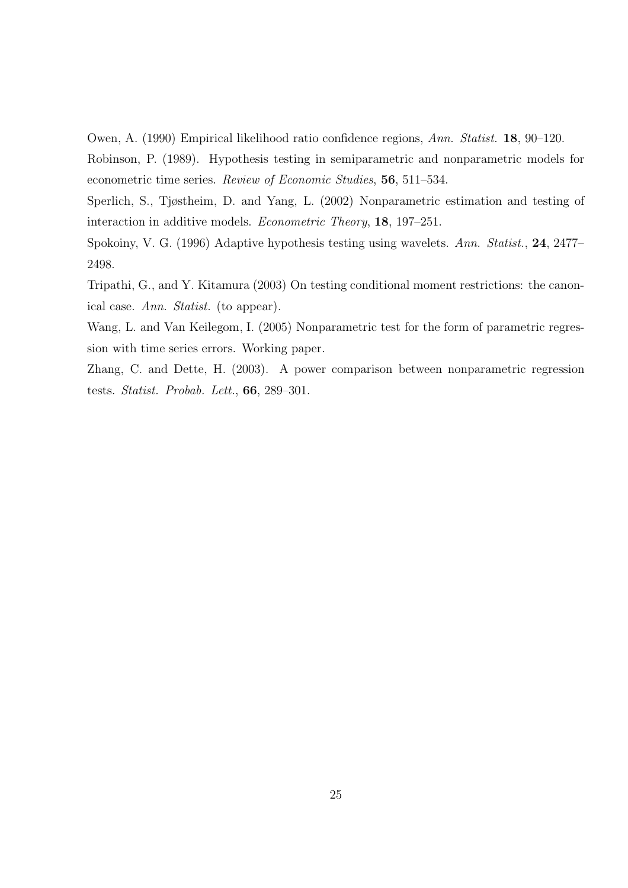Owen, A. (1990) Empirical likelihood ratio confidence regions, Ann. Statist. 18, 90–120.

Robinson, P. (1989). Hypothesis testing in semiparametric and nonparametric models for econometric time series. Review of Economic Studies, 56, 511–534.

Sperlich, S., Tjøstheim, D. and Yang, L. (2002) Nonparametric estimation and testing of interaction in additive models. Econometric Theory, 18, 197–251.

Spokoiny, V. G. (1996) Adaptive hypothesis testing using wavelets. Ann. Statist., 24, 2477– 2498.

Tripathi, G., and Y. Kitamura (2003) On testing conditional moment restrictions: the canonical case. Ann. Statist. (to appear).

Wang, L. and Van Keilegom, I. (2005) Nonparametric test for the form of parametric regression with time series errors. Working paper.

Zhang, C. and Dette, H. (2003). A power comparison between nonparametric regression tests. Statist. Probab. Lett., 66, 289–301.